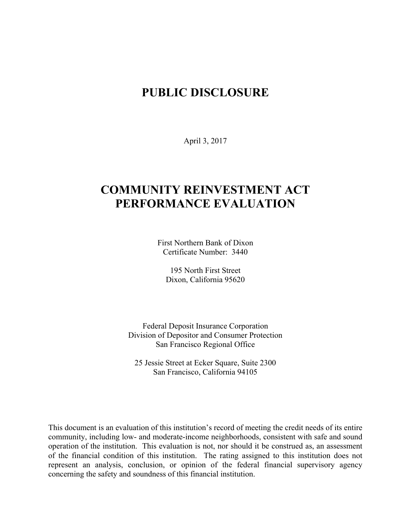# **PUBLIC DISCLOSURE**

April 3, 2017

# **COMMUNITY REINVESTMENT ACT PERFORMANCE EVALUATION**

First Northern Bank of Dixon Certificate Number: 3440

195 North First Street Dixon, California 95620

Federal Deposit Insurance Corporation Division of Depositor and Consumer Protection San Francisco Regional Office

25 Jessie Street at Ecker Square, Suite 2300 San Francisco, California 94105

This document is an evaluation of this institution's record of meeting the credit needs of its entire community, including low- and moderate-income neighborhoods, consistent with safe and sound operation of the institution.This evaluation is not, nor should it be construed as, an assessment of the financial condition of this institution. The rating assigned to this institution does not represent an analysis, conclusion, or opinion of the federal financial supervisory agency concerning the safety and soundness of this financial institution.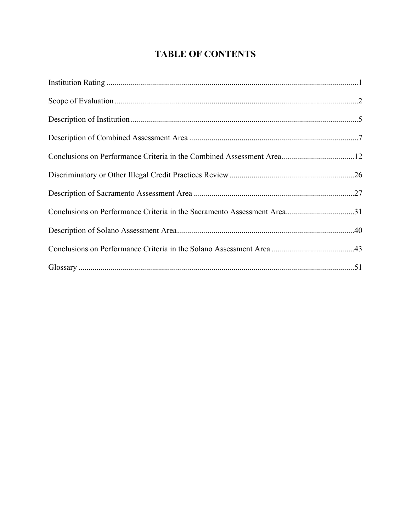## **TABLE OF CONTENTS**

| Conclusions on Performance Criteria in the Combined Assessment Area12   |  |
|-------------------------------------------------------------------------|--|
|                                                                         |  |
|                                                                         |  |
| Conclusions on Performance Criteria in the Sacramento Assessment Area31 |  |
|                                                                         |  |
|                                                                         |  |
|                                                                         |  |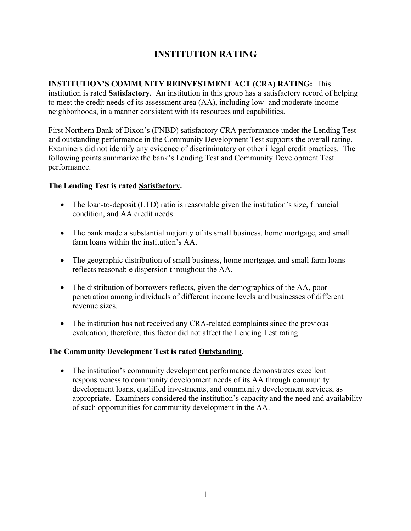## **INSTITUTION RATING**

# **INSTITUTION'S COMMUNITY REINVESTMENT ACT (CRA) RATING:** This

institution is rated **Satisfactory.** An institution in this group has a satisfactory record of helping to meet the credit needs of its assessment area (AA), including low- and moderate-income neighborhoods, in a manner consistent with its resources and capabilities.

First Northern Bank of Dixon's (FNBD) satisfactory CRA performance under the Lending Test and outstanding performance in the Community Development Test supports the overall rating. Examiners did not identify any evidence of discriminatory or other illegal credit practices. The following points summarize the bank's Lending Test and Community Development Test performance.

## **The Lending Test is rated Satisfactory.**

- The loan-to-deposit (LTD) ratio is reasonable given the institution's size, financial condition, and AA credit needs.
- The bank made a substantial majority of its small business, home mortgage, and small farm loans within the institution's AA.
- The geographic distribution of small business, home mortgage, and small farm loans reflects reasonable dispersion throughout the AA.
- The distribution of borrowers reflects, given the demographics of the AA, poor penetration among individuals of different income levels and businesses of different revenue sizes.
- The institution has not received any CRA-related complaints since the previous evaluation; therefore, this factor did not affect the Lending Test rating.

## **The Community Development Test is rated Outstanding.**

• The institution's community development performance demonstrates excellent responsiveness to community development needs of its AA through community development loans, qualified investments, and community development services, as appropriate. Examiners considered the institution's capacity and the need and availability of such opportunities for community development in the AA.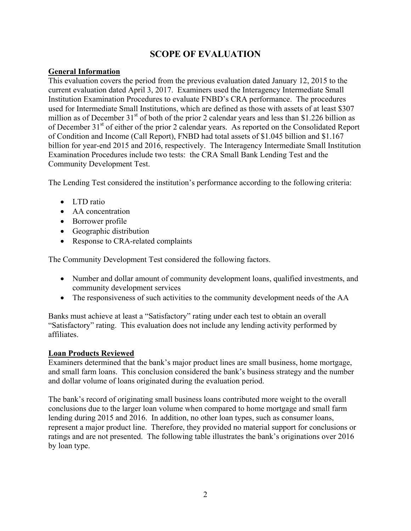## **SCOPE OF EVALUATION**

## **General Information**

This evaluation covers the period from the previous evaluation dated January 12, 2015 to the current evaluation dated April 3, 2017. Examiners used the Interagency Intermediate Small Institution Examination Procedures to evaluate FNBD's CRA performance. The procedures used for Intermediate Small Institutions, which are defined as those with assets of at least \$307 million as of December  $31<sup>st</sup>$  of both of the prior 2 calendar years and less than \$1.226 billion as of December 31<sup>st</sup> of either of the prior 2 calendar years. As reported on the Consolidated Report of Condition and Income (Call Report), FNBD had total assets of \$1.045 billion and \$1.167 billion for year-end 2015 and 2016, respectively. The Interagency Intermediate Small Institution Examination Procedures include two tests: the CRA Small Bank Lending Test and the Community Development Test.

The Lending Test considered the institution's performance according to the following criteria:

- LTD ratio
- AA concentration
- Borrower profile
- Geographic distribution
- Response to CRA-related complaints

The Community Development Test considered the following factors.

- Number and dollar amount of community development loans, qualified investments, and community development services
- The responsiveness of such activities to the community development needs of the AA

Banks must achieve at least a "Satisfactory" rating under each test to obtain an overall "Satisfactory" rating. This evaluation does not include any lending activity performed by affiliates.

#### **Loan Products Reviewed**

Examiners determined that the bank's major product lines are small business, home mortgage, and small farm loans. This conclusion considered the bank's business strategy and the number and dollar volume of loans originated during the evaluation period.

The bank's record of originating small business loans contributed more weight to the overall conclusions due to the larger loan volume when compared to home mortgage and small farm lending during 2015 and 2016. In addition, no other loan types, such as consumer loans, represent a major product line. Therefore, they provided no material support for conclusions or ratings and are not presented. The following table illustrates the bank's originations over 2016 by loan type.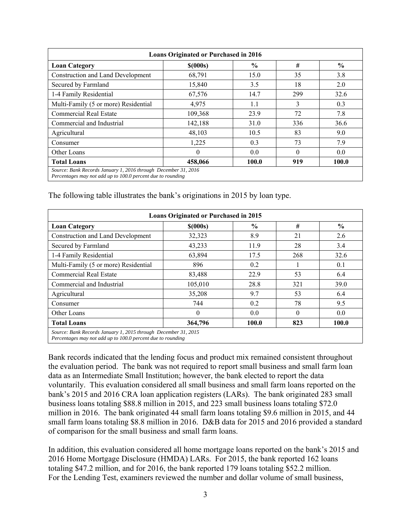| <b>Loans Originated or Purchased in 2016</b>                                                                                  |            |               |          |               |  |  |  |  |  |
|-------------------------------------------------------------------------------------------------------------------------------|------------|---------------|----------|---------------|--|--|--|--|--|
| <b>Loan Category</b>                                                                                                          | $$$ (000s) | $\frac{6}{9}$ | #        | $\frac{6}{9}$ |  |  |  |  |  |
| <b>Construction and Land Development</b>                                                                                      | 68,791     | 15.0          | 35       | 3.8           |  |  |  |  |  |
| Secured by Farmland                                                                                                           | 15,840     | 3.5           | 18       | 2.0           |  |  |  |  |  |
| 1-4 Family Residential                                                                                                        | 67,576     | 14.7          | 299      | 32.6          |  |  |  |  |  |
| Multi-Family (5 or more) Residential                                                                                          | 4,975      | 1.1           | 3        | 0.3           |  |  |  |  |  |
| Commercial Real Estate                                                                                                        | 109,368    | 23.9          | 72       | 7.8           |  |  |  |  |  |
| Commercial and Industrial                                                                                                     | 142,188    | 31.0          | 336      | 36.6          |  |  |  |  |  |
| Agricultural                                                                                                                  | 48,103     | 10.5          | 83       | 9.0           |  |  |  |  |  |
| Consumer                                                                                                                      | 1,225      | 0.3           | 73       | 7.9           |  |  |  |  |  |
| Other Loans                                                                                                                   | $\theta$   | 0.0           | $\Omega$ | 0.0           |  |  |  |  |  |
| <b>Total Loans</b>                                                                                                            | 458,066    | 100.0         | 919      | 100.0         |  |  |  |  |  |
| Source: Bank Records January 1, 2016 through December 31, 2016<br>Percentages may not add up to 100.0 percent due to rounding |            |               |          |               |  |  |  |  |  |

The following table illustrates the bank's originations in 2015 by loan type.

| <b>Loans Originated or Purchased in 2015</b>                                                                                                    |            |               |          |               |  |  |  |  |  |
|-------------------------------------------------------------------------------------------------------------------------------------------------|------------|---------------|----------|---------------|--|--|--|--|--|
| <b>Loan Category</b>                                                                                                                            | $$$ (000s) | $\frac{0}{0}$ | #        | $\frac{6}{9}$ |  |  |  |  |  |
| <b>Construction and Land Development</b>                                                                                                        | 32,323     | 8.9           | 21       | 2.6           |  |  |  |  |  |
| Secured by Farmland                                                                                                                             | 43,233     | 11.9          | 28       | 3.4           |  |  |  |  |  |
| 1-4 Family Residential                                                                                                                          | 63,894     | 17.5          | 268      | 32.6          |  |  |  |  |  |
| Multi-Family (5 or more) Residential                                                                                                            | 896        | 0.2           |          | 0.1           |  |  |  |  |  |
| <b>Commercial Real Estate</b>                                                                                                                   | 83,488     | 22.9          | 53       | 6.4           |  |  |  |  |  |
| Commercial and Industrial                                                                                                                       | 105,010    | 28.8          | 321      | 39.0          |  |  |  |  |  |
| Agricultural                                                                                                                                    | 35,208     | 9.7           | 53       | 6.4           |  |  |  |  |  |
| Consumer                                                                                                                                        | 744        | 0.2           | 78       | 9.5           |  |  |  |  |  |
| Other Loans                                                                                                                                     | $\Omega$   | 0.0           | $\Omega$ | 0.0           |  |  |  |  |  |
| <b>Total Loans</b>                                                                                                                              | 364,796    | 100.0         | 823      | 100.0         |  |  |  |  |  |
| Source: Bank Records January 1, 2015 through December 31, 2015<br>$D$ approachange is a second and $JJ$ can be 100.0 program due to prove ding. |            |               |          |               |  |  |  |  |  |

*Percentages may not add up to 100.0 percent due to rounding* 

Bank records indicated that the lending focus and product mix remained consistent throughout the evaluation period. The bank was not required to report small business and small farm loan data as an Intermediate Small Institution; however, the bank elected to report the data voluntarily. This evaluation considered all small business and small farm loans reported on the bank's 2015 and 2016 CRA loan application registers (LARs). The bank originated 283 small business loans totaling \$88.8 million in 2015, and 223 small business loans totaling \$72.0 million in 2016. The bank originated 44 small farm loans totaling \$9.6 million in 2015, and 44 small farm loans totaling \$8.8 million in 2016. D&B data for 2015 and 2016 provided a standard of comparison for the small business and small farm loans.

In addition, this evaluation considered all home mortgage loans reported on the bank's 2015 and 2016 Home Mortgage Disclosure (HMDA) LARs. For 2015, the bank reported 162 loans totaling \$47.2 million, and for 2016, the bank reported 179 loans totaling \$52.2 million. For the Lending Test, examiners reviewed the number and dollar volume of small business,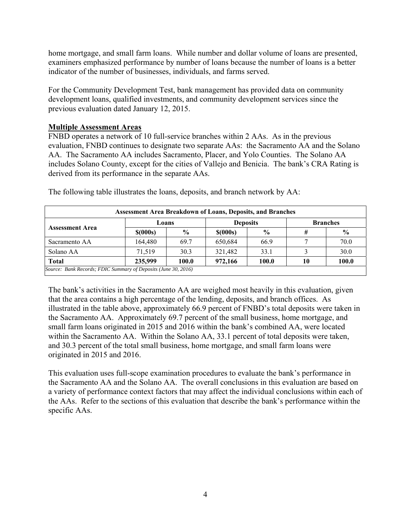home mortgage, and small farm loans. While number and dollar volume of loans are presented, examiners emphasized performance by number of loans because the number of loans is a better indicator of the number of businesses, individuals, and farms served.

For the Community Development Test, bank management has provided data on community development loans, qualified investments, and community development services since the previous evaluation dated January 12, 2015.

### **Multiple Assessment Areas**

FNBD operates a network of 10 full-service branches within 2 AAs. As in the previous evaluation, FNBD continues to designate two separate AAs: the Sacramento AA and the Solano AA. The Sacramento AA includes Sacramento, Placer, and Yolo Counties. The Solano AA includes Solano County, except for the cities of Vallejo and Benicia. The bank's CRA Rating is derived from its performance in the separate AAs.

| <b>Assessment Area Breakdown of Loans, Deposits, and Branches</b> |              |               |                 |               |                 |       |  |  |  |
|-------------------------------------------------------------------|--------------|---------------|-----------------|---------------|-----------------|-------|--|--|--|
| <b>Assessment Area</b>                                            | Loans        |               | <b>Deposits</b> |               | <b>Branches</b> |       |  |  |  |
|                                                                   | $$$ $(000s)$ | $\frac{6}{9}$ | $$$ $(000s)$    | $\frac{6}{9}$ | #               | $\%$  |  |  |  |
| Sacramento AA                                                     | 164,480      | 69.7          | 650,684         | 66.9          |                 | 70.0  |  |  |  |
| Solano AA                                                         | 71.519       | 30.3          | 321,482         | 33.1          |                 | 30.0  |  |  |  |
| <b>Total</b>                                                      | 235,999      | 100.0         | 972,166         | 100.0         | 10              | 100.0 |  |  |  |
| Source: Bank Records; FDIC Summary of Deposits (June 30, 2016)    |              |               |                 |               |                 |       |  |  |  |

The following table illustrates the loans, deposits, and branch network by AA:

The bank's activities in the Sacramento AA are weighed most heavily in this evaluation, given that the area contains a high percentage of the lending, deposits, and branch offices. As illustrated in the table above, approximately 66.9 percent of FNBD's total deposits were taken in the Sacramento AA. Approximately 69.7 percent of the small business, home mortgage, and small farm loans originated in 2015 and 2016 within the bank's combined AA, were located within the Sacramento AA. Within the Solano AA, 33.1 percent of total deposits were taken, and 30.3 percent of the total small business, home mortgage, and small farm loans were originated in 2015 and 2016.

This evaluation uses full-scope examination procedures to evaluate the bank's performance in the Sacramento AA and the Solano AA. The overall conclusions in this evaluation are based on a variety of performance context factors that may affect the individual conclusions within each of the AAs. Refer to the sections of this evaluation that describe the bank's performance within the specific AAs.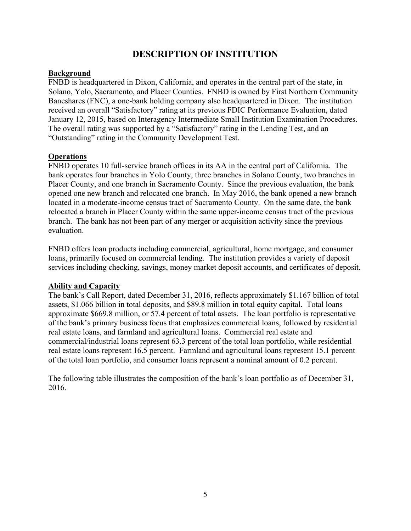## **DESCRIPTION OF INSTITUTION**

## **Background**

FNBD is headquartered in Dixon, California, and operates in the central part of the state, in Solano, Yolo, Sacramento, and Placer Counties. FNBD is owned by First Northern Community Bancshares (FNC), a one-bank holding company also headquartered in Dixon. The institution received an overall "Satisfactory" rating at its previous FDIC Performance Evaluation, dated January 12, 2015, based on Interagency Intermediate Small Institution Examination Procedures. The overall rating was supported by a "Satisfactory" rating in the Lending Test, and an "Outstanding" rating in the Community Development Test.

### **Operations**

FNBD operates 10 full-service branch offices in its AA in the central part of California. The bank operates four branches in Yolo County, three branches in Solano County, two branches in Placer County, and one branch in Sacramento County. Since the previous evaluation, the bank opened one new branch and relocated one branch. In May 2016, the bank opened a new branch located in a moderate-income census tract of Sacramento County. On the same date, the bank relocated a branch in Placer County within the same upper-income census tract of the previous branch. The bank has not been part of any merger or acquisition activity since the previous evaluation.

FNBD offers loan products including commercial, agricultural, home mortgage, and consumer loans, primarily focused on commercial lending. The institution provides a variety of deposit services including checking, savings, money market deposit accounts, and certificates of deposit.

#### **Ability and Capacity**

The bank's Call Report, dated December 31, 2016, reflects approximately \$1.167 billion of total assets, \$1.066 billion in total deposits, and \$89.8 million in total equity capital. Total loans approximate \$669.8 million, or 57.4 percent of total assets. The loan portfolio is representative of the bank's primary business focus that emphasizes commercial loans, followed by residential real estate loans, and farmland and agricultural loans. Commercial real estate and commercial/industrial loans represent 63.3 percent of the total loan portfolio, while residential real estate loans represent 16.5 percent. Farmland and agricultural loans represent 15.1 percent of the total loan portfolio, and consumer loans represent a nominal amount of 0.2 percent.

The following table illustrates the composition of the bank's loan portfolio as of December 31, 2016.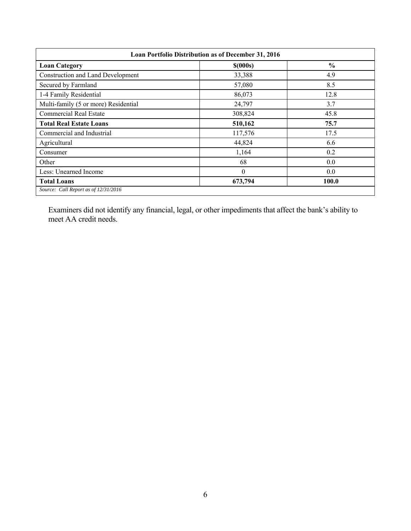| Loan Portfolio Distribution as of December 31, 2016 |                |               |  |  |  |  |  |  |
|-----------------------------------------------------|----------------|---------------|--|--|--|--|--|--|
| <b>Loan Category</b>                                | $$$ (000s)     | $\frac{6}{9}$ |  |  |  |  |  |  |
| <b>Construction and Land Development</b>            | 33,388         | 4.9           |  |  |  |  |  |  |
| Secured by Farmland                                 | 57,080         | 8.5           |  |  |  |  |  |  |
| 1-4 Family Residential                              | 86,073         | 12.8          |  |  |  |  |  |  |
| Multi-family (5 or more) Residential                | 24,797         | 3.7           |  |  |  |  |  |  |
| <b>Commercial Real Estate</b>                       | 308,824        | 45.8          |  |  |  |  |  |  |
| <b>Total Real Estate Loans</b>                      | 510,162        | 75.7          |  |  |  |  |  |  |
| Commercial and Industrial                           | 117,576        | 17.5          |  |  |  |  |  |  |
| Agricultural                                        | 44,824         | 6.6           |  |  |  |  |  |  |
| Consumer                                            | 1,164          | 0.2           |  |  |  |  |  |  |
| Other                                               | 68             | 0.0           |  |  |  |  |  |  |
| Less: Unearned Income                               | $\overline{0}$ | 0.0           |  |  |  |  |  |  |
| <b>Total Loans</b>                                  | 673,794        | 100.0         |  |  |  |  |  |  |
| Source: Call Report as of 12/31/2016                |                |               |  |  |  |  |  |  |

Examiners did not identify any financial, legal, or other impediments that affect the bank's ability to meet AA credit needs.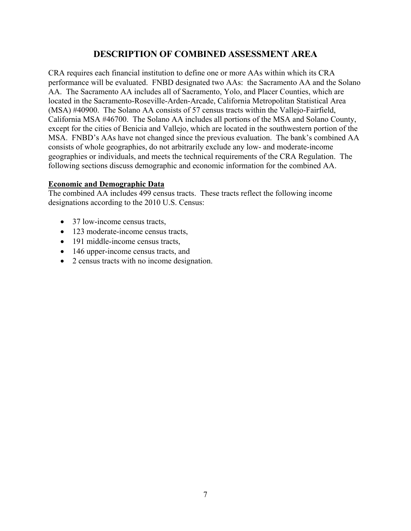## **DESCRIPTION OF COMBINED ASSESSMENT AREA**

CRA requires each financial institution to define one or more AAs within which its CRA performance will be evaluated. FNBD designated two AAs: the Sacramento AA and the Solano AA. The Sacramento AA includes all of Sacramento, Yolo, and Placer Counties, which are located in the Sacramento-Roseville-Arden-Arcade, California Metropolitan Statistical Area (MSA) #40900. The Solano AA consists of 57 census tracts within the Vallejo-Fairfield, California MSA #46700. The Solano AA includes all portions of the MSA and Solano County, except for the cities of Benicia and Vallejo, which are located in the southwestern portion of the MSA. FNBD's AAs have not changed since the previous evaluation. The bank's combined AA consists of whole geographies, do not arbitrarily exclude any low- and moderate-income geographies or individuals, and meets the technical requirements of the CRA Regulation. The following sections discuss demographic and economic information for the combined AA.

### **Economic and Demographic Data**

The combined AA includes 499 census tracts. These tracts reflect the following income designations according to the 2010 U.S. Census:

- 37 low-income census tracts,
- 123 moderate-income census tracts,
- 191 middle-income census tracts,
- 146 upper-income census tracts, and
- 2 census tracts with no income designation.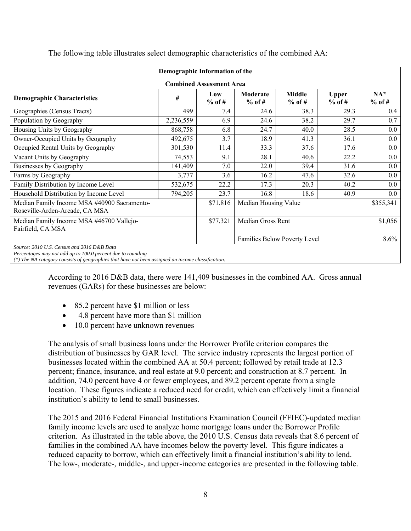| Demographic Information of the                                                                                      |           |                   |                      |                              |                          |                    |  |  |
|---------------------------------------------------------------------------------------------------------------------|-----------|-------------------|----------------------|------------------------------|--------------------------|--------------------|--|--|
| <b>Combined Assessment Area</b>                                                                                     |           |                   |                      |                              |                          |                    |  |  |
| <b>Demographic Characteristics</b>                                                                                  | #         | Low<br>$%$ of #   | Moderate<br>$%$ of # | Middle<br>$%$ of #           | <b>Upper</b><br>$%$ of # | $NA^*$<br>$%$ of # |  |  |
| Geographies (Census Tracts)                                                                                         | 499       | 7.4               | 24.6                 | 38.3                         | 29.3                     | 0.4                |  |  |
| Population by Geography                                                                                             | 2,236,559 | 6.9               | 24.6                 | 38.2                         | 29.7                     | 0.7                |  |  |
| Housing Units by Geography                                                                                          | 868,758   | 6.8               | 24.7                 | 40.0                         | 28.5                     | $0.0\,$            |  |  |
| Owner-Occupied Units by Geography                                                                                   | 492,675   | 3.7               | 18.9                 | 41.3                         | 36.1                     | $0.0\,$            |  |  |
| Occupied Rental Units by Geography                                                                                  | 301,530   | 11.4              | 33.3                 | 37.6                         | 17.6                     | $0.0\,$            |  |  |
| Vacant Units by Geography                                                                                           | 74,553    | 9.1               | 28.1                 | 40.6                         | 22.2                     | $0.0\,$            |  |  |
| Businesses by Geography                                                                                             | 141,409   | 7.0               | 22.0                 | 39.4                         | 31.6                     | $0.0\,$            |  |  |
| Farms by Geography                                                                                                  | 3,777     | 3.6               | 16.2                 | 47.6                         | 32.6                     | $0.0\,$            |  |  |
| Family Distribution by Income Level                                                                                 | 532,675   | 22.2              | 17.3                 | 20.3                         | 40.2                     | $0.0\,$            |  |  |
| Household Distribution by Income Level                                                                              | 794,205   | 23.7              | 16.8                 | 18.6                         | 40.9                     | 0.0                |  |  |
| Median Family Income MSA #40900 Sacramento-<br>Roseville-Arden-Arcade, CA MSA                                       |           | \$71,816          | Median Housing Value |                              |                          | \$355,341          |  |  |
| Median Family Income MSA #46700 Vallejo-<br>\$77,321<br>Fairfield, CA MSA                                           |           | Median Gross Rent |                      |                              | \$1,056                  |                    |  |  |
|                                                                                                                     |           |                   |                      | Families Below Poverty Level |                          | 8.6%               |  |  |
| Source: 2010 U.S. Census and 2016 D&B Data<br>Department on more and all cases. 100.0 more and deep to point direct |           |                   |                      |                              |                          |                    |  |  |

The following table illustrates select demographic characteristics of the combined AA:

*Percentages may not add up to 100.0 percent due to rounding* 

*(\*) The NA category consists of geographies that have not been assigned an income classification.* 

According to 2016 D&B data, there were 141,409 businesses in the combined AA. Gross annual revenues (GARs) for these businesses are below:

- 85.2 percent have \$1 million or less
- 4.8 percent have more than \$1 million
- 10.0 percent have unknown revenues

The analysis of small business loans under the Borrower Profile criterion compares the distribution of businesses by GAR level. The service industry represents the largest portion of businesses located within the combined AA at 50.4 percent; followed by retail trade at 12.3 percent; finance, insurance, and real estate at 9.0 percent; and construction at 8.7 percent. In addition, 74.0 percent have 4 or fewer employees, and 89.2 percent operate from a single location. These figures indicate a reduced need for credit, which can effectively limit a financial institution's ability to lend to small businesses.

The 2015 and 2016 Federal Financial Institutions Examination Council (FFIEC)-updated median family income levels are used to analyze home mortgage loans under the Borrower Profile criterion. As illustrated in the table above, the 2010 U.S. Census data reveals that 8.6 percent of families in the combined AA have incomes below the poverty level. This figure indicates a reduced capacity to borrow, which can effectively limit a financial institution's ability to lend. The low-, moderate-, middle-, and upper-income categories are presented in the following table.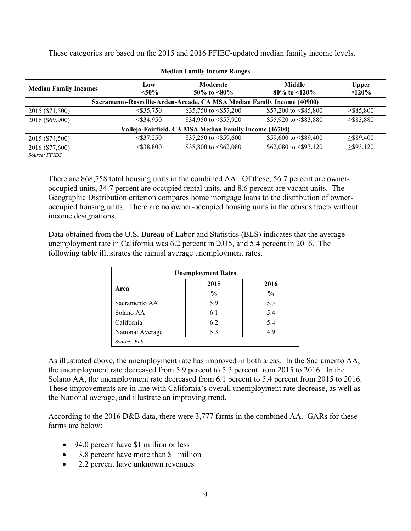| <b>Median Family Income Ranges</b>                                     |                 |                                                        |                                |                             |  |  |  |  |  |  |
|------------------------------------------------------------------------|-----------------|--------------------------------------------------------|--------------------------------|-----------------------------|--|--|--|--|--|--|
| <b>Median Family Incomes</b>                                           | Low<br>$< 50\%$ | Moderate<br>50\% to $\leq 80\%$                        | Middle<br>80\% to $\leq 120\%$ | <b>Upper</b><br>$\geq$ 120% |  |  |  |  |  |  |
| Sacramento-Roseville-Arden-Arcade, CA MSA Median Family Income (40900) |                 |                                                        |                                |                             |  |  |  |  |  |  |
| 2015 (\$71,500)                                                        | $<$ \$35,750    | \$35,750 to $\leq$ \$57,200                            | \$57,200 to $\leq$ \$85,800    | $\geq$ \$85,800             |  |  |  |  |  |  |
| 2016 (\$69,900)                                                        | $<$ \$34,950    | \$34,950 to $\le$ \$55,920                             | \$55,920 to $\leq$ \$83,880    | $\geq$ \$83,880             |  |  |  |  |  |  |
|                                                                        |                 | Vallejo-Fairfield, CA MSA Median Family Income (46700) |                                |                             |  |  |  |  |  |  |
| 2015 (\$74,500)                                                        | $<$ \$37,250    | \$37,250 to $\le$ \$59,600                             | \$59,600 to $\leq$ \$89,400    | $\geq$ \$89,400             |  |  |  |  |  |  |
| 2016 (\$77,600)                                                        | $<$ \$38,800    | \$38,800 to $\leq$ \$62,080                            | \$62,080 to $\leq$ \$93,120    | $\geq$ \$93,120             |  |  |  |  |  |  |
| Source: FFIEC                                                          |                 |                                                        |                                |                             |  |  |  |  |  |  |

These categories are based on the 2015 and 2016 FFIEC-updated median family income levels.

There are 868,758 total housing units in the combined AA. Of these, 56.7 percent are owneroccupied units, 34.7 percent are occupied rental units, and 8.6 percent are vacant units. The Geographic Distribution criterion compares home mortgage loans to the distribution of owneroccupied housing units. There are no owner-occupied housing units in the census tracts without income designations.

Data obtained from the U.S. Bureau of Labor and Statistics (BLS) indicates that the average unemployment rate in California was 6.2 percent in 2015, and 5.4 percent in 2016. The following table illustrates the annual average unemployment rates.

| <b>Unemployment Rates</b> |               |               |  |  |  |  |  |  |
|---------------------------|---------------|---------------|--|--|--|--|--|--|
|                           | 2015          | 2016          |  |  |  |  |  |  |
| Area                      | $\frac{0}{0}$ | $\frac{0}{0}$ |  |  |  |  |  |  |
| Sacramento AA             | 5.9           | 5.3           |  |  |  |  |  |  |
| Solano AA                 | 6.1           | 5.4           |  |  |  |  |  |  |
| California                | 6.2           | 5.4           |  |  |  |  |  |  |
| National Average          | 5.3           | 49            |  |  |  |  |  |  |
| Source: BLS               |               |               |  |  |  |  |  |  |

As illustrated above, the unemployment rate has improved in both areas. In the Sacramento AA, the unemployment rate decreased from 5.9 percent to 5.3 percent from 2015 to 2016. In the Solano AA, the unemployment rate decreased from 6.1 percent to 5.4 percent from 2015 to 2016. These improvements are in line with California's overall unemployment rate decrease, as well as the National average, and illustrate an improving trend.

According to the 2016 D&B data, there were 3,777 farms in the combined AA. GARs for these farms are below:

- 94.0 percent have \$1 million or less
- 3.8 percent have more than \$1 million
- 2.2 percent have unknown revenues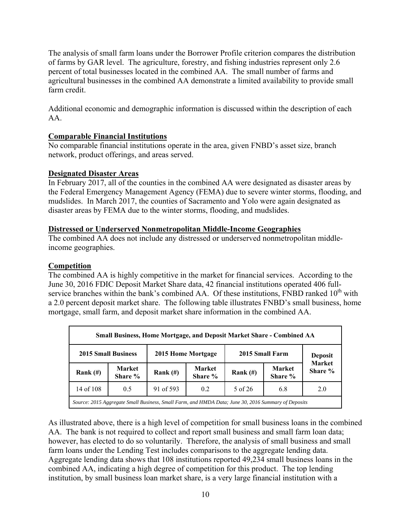The analysis of small farm loans under the Borrower Profile criterion compares the distribution of farms by GAR level. The agriculture, forestry, and fishing industries represent only 2.6 percent of total businesses located in the combined AA. The small number of farms and agricultural businesses in the combined AA demonstrate a limited availability to provide small farm credit.

Additional economic and demographic information is discussed within the description of each AA.

## **Comparable Financial Institutions**

No comparable financial institutions operate in the area, given FNBD's asset size, branch network, product offerings, and areas served.

## **Designated Disaster Areas**

In February 2017, all of the counties in the combined AA were designated as disaster areas by the Federal Emergency Management Agency (FEMA) due to severe winter storms, flooding, and mudslides. In March 2017, the counties of Sacramento and Yolo were again designated as disaster areas by FEMA due to the winter storms, flooding, and mudslides.

## **Distressed or Underserved Nonmetropolitan Middle-Income Geographies**

The combined AA does not include any distressed or underserved nonmetropolitan middleincome geographies.

## **Competition**

The combined AA is highly competitive in the market for financial services. According to the June 30, 2016 FDIC Deposit Market Share data, 42 financial institutions operated 406 fullservice branches within the bank's combined AA. Of these institutions, FNBD ranked  $10<sup>th</sup>$  with a 2.0 percent deposit market share. The following table illustrates FNBD's small business, home mortgage, small farm, and deposit market share information in the combined AA.

| Small Business, Home Mortgage, and Deposit Market Share - Combined AA                               |                   |                                       |                          |            |                          |                          |  |  |  |
|-----------------------------------------------------------------------------------------------------|-------------------|---------------------------------------|--------------------------|------------|--------------------------|--------------------------|--|--|--|
| <b>2015 Small Business</b>                                                                          |                   | 2015 Small Farm<br>2015 Home Mortgage |                          |            |                          |                          |  |  |  |
| Rank $(\#)$                                                                                         | Market<br>Share % | Rank $(\#)$                           | <b>Market</b><br>Share % | Rank $(H)$ | <b>Market</b><br>Share % | <b>Market</b><br>Share % |  |  |  |
| 14 of 108                                                                                           | 0.5               | 91 of 593                             | 0.2                      | 5 of 26    | 6.8                      | 2.0                      |  |  |  |
| Source: 2015 Aggregate Small Business, Small Farm, and HMDA Data; June 30, 2016 Summary of Deposits |                   |                                       |                          |            |                          |                          |  |  |  |

As illustrated above, there is a high level of competition for small business loans in the combined AA. The bank is not required to collect and report small business and small farm loan data; however, has elected to do so voluntarily. Therefore, the analysis of small business and small farm loans under the Lending Test includes comparisons to the aggregate lending data. Aggregate lending data shows that 108 institutions reported 49,234 small business loans in the combined AA, indicating a high degree of competition for this product. The top lending institution, by small business loan market share, is a very large financial institution with a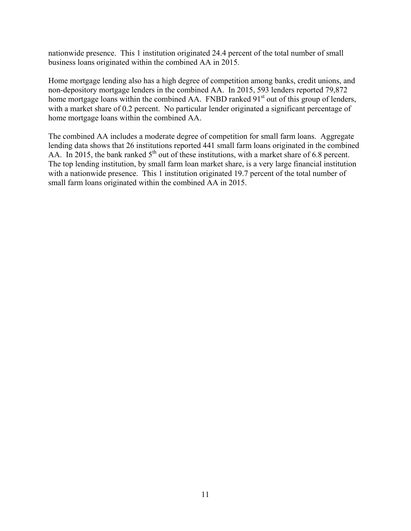nationwide presence. This 1 institution originated 24.4 percent of the total number of small business loans originated within the combined AA in 2015.

Home mortgage lending also has a high degree of competition among banks, credit unions, and non-depository mortgage lenders in the combined AA. In 2015, 593 lenders reported 79,872 home mortgage loans within the combined AA. FNBD ranked 91<sup>st</sup> out of this group of lenders, with a market share of 0.2 percent. No particular lender originated a significant percentage of home mortgage loans within the combined AA.

The combined AA includes a moderate degree of competition for small farm loans. Aggregate lending data shows that 26 institutions reported 441 small farm loans originated in the combined AA. In 2015, the bank ranked  $5<sup>th</sup>$  out of these institutions, with a market share of 6.8 percent. The top lending institution, by small farm loan market share, is a very large financial institution with a nationwide presence. This 1 institution originated 19.7 percent of the total number of small farm loans originated within the combined AA in 2015.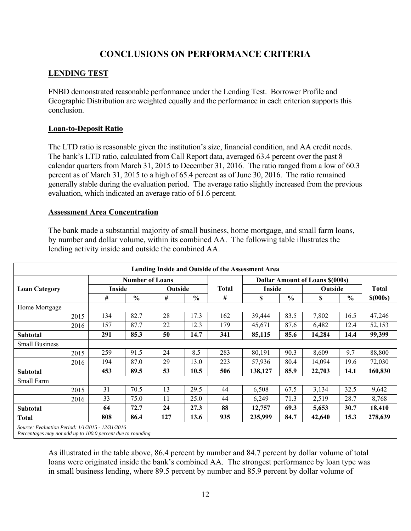## **CONCLUSIONS ON PERFORMANCE CRITERIA**

## **LENDING TEST**

FNBD demonstrated reasonable performance under the Lending Test. Borrower Profile and Geographic Distribution are weighted equally and the performance in each criterion supports this conclusion.

## **Loan-to-Deposit Ratio**

The LTD ratio is reasonable given the institution's size, financial condition, and AA credit needs. The bank's LTD ratio, calculated from Call Report data, averaged 63.4 percent over the past 8 calendar quarters from March 31, 2015 to December 31, 2016. The ratio ranged from a low of 60.3 percent as of March 31, 2015 to a high of 65.4 percent as of June 30, 2016. The ratio remained generally stable during the evaluation period. The average ratio slightly increased from the previous evaluation, which indicated an average ratio of 61.6 percent.

### **Assessment Area Concentration**

The bank made a substantial majority of small business, home mortgage, and small farm loans, by number and dollar volume, within its combined AA. The following table illustrates the lending activity inside and outside the combined AA.

|                                                                                                                 |        |                        |         |               |              | Lending Inside and Outside of the Assessment Area |               |                                        |               |            |
|-----------------------------------------------------------------------------------------------------------------|--------|------------------------|---------|---------------|--------------|---------------------------------------------------|---------------|----------------------------------------|---------------|------------|
|                                                                                                                 |        | <b>Number of Loans</b> |         |               |              |                                                   |               | <b>Dollar Amount of Loans \$(000s)</b> |               |            |
| <b>Loan Category</b>                                                                                            | Inside |                        | Outside |               | <b>Total</b> |                                                   | <b>Inside</b> |                                        | Outside       |            |
|                                                                                                                 | #      | $\frac{6}{6}$          | #       | $\frac{6}{6}$ | #            | \$                                                | $\frac{6}{6}$ | \$                                     | $\frac{6}{6}$ | $$$ (000s) |
| Home Mortgage                                                                                                   |        |                        |         |               |              |                                                   |               |                                        |               |            |
| 2015                                                                                                            | 134    | 82.7                   | 28      | 17.3          | 162          | 39,444                                            | 83.5          | 7,802                                  | 16.5          | 47,246     |
| 2016                                                                                                            | 157    | 87.7                   | 22      | 12.3          | 179          | 45,671                                            | 87.6          | 6,482                                  | 12.4          | 52,153     |
| <b>Subtotal</b>                                                                                                 | 291    | 85.3                   | 50      | 14.7          | 341          | 85,115                                            | 85.6          | 14,284                                 | 14.4          | 99,399     |
| <b>Small Business</b>                                                                                           |        |                        |         |               |              |                                                   |               |                                        |               |            |
| 2015                                                                                                            | 259    | 91.5                   | 24      | 8.5           | 283          | 80,191                                            | 90.3          | 8,609                                  | 9.7           | 88,800     |
| 2016                                                                                                            | 194    | 87.0                   | 29      | 13.0          | 223          | 57,936                                            | 80.4          | 14,094                                 | 19.6          | 72,030     |
| <b>Subtotal</b>                                                                                                 | 453    | 89.5                   | 53      | 10.5          | 506          | 138,127                                           | 85.9          | 22,703                                 | 14.1          | 160,830    |
| Small Farm                                                                                                      |        |                        |         |               |              |                                                   |               |                                        |               |            |
| 2015                                                                                                            | 31     | 70.5                   | 13      | 29.5          | 44           | 6,508                                             | 67.5          | 3,134                                  | 32.5          | 9,642      |
| 2016                                                                                                            | 33     | 75.0                   | 11      | 25.0          | 44           | 6,249                                             | 71.3          | 2,519                                  | 28.7          | 8,768      |
| <b>Subtotal</b>                                                                                                 | 64     | 72.7                   | 24      | 27.3          | 88           | 12,757                                            | 69.3          | 5,653                                  | 30.7          | 18,410     |
| <b>Total</b>                                                                                                    | 808    | 86.4                   | 127     | 13.6          | 935          | 235,999                                           | 84.7          | 42,640                                 | 15.3          | 278,639    |
| Source: Evaluation Period: 1/1/2015 - 12/31/2016<br>Percentages may not add up to 100.0 percent due to rounding |        |                        |         |               |              |                                                   |               |                                        |               |            |

As illustrated in the table above, 86.4 percent by number and 84.7 percent by dollar volume of total loans were originated inside the bank's combined AA. The strongest performance by loan type was in small business lending, where 89.5 percent by number and 85.9 percent by dollar volume of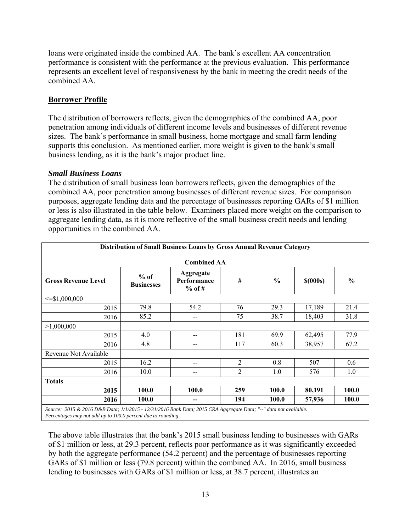loans were originated inside the combined AA. The bank's excellent AA concentration performance is consistent with the performance at the previous evaluation. This performance represents an excellent level of responsiveness by the bank in meeting the credit needs of the combined AA.

## **Borrower Profile**

The distribution of borrowers reflects, given the demographics of the combined AA, poor penetration among individuals of different income levels and businesses of different revenue sizes. The bank's performance in small business, home mortgage and small farm lending supports this conclusion. As mentioned earlier, more weight is given to the bank's small business lending, as it is the bank's major product line.

### *Small Business Loans*

The distribution of small business loan borrowers reflects, given the demographics of the combined AA, poor penetration among businesses of different revenue sizes. For comparison purposes, aggregate lending data and the percentage of businesses reporting GARs of \$1 million or less is also illustrated in the table below. Examiners placed more weight on the comparison to aggregate lending data, as it is more reflective of the small business credit needs and lending opportunities in the combined AA.

| Distribution of Small Business Loans by Gross Annual Revenue Category                                            |                             |                                      |                |               |            |               |  |  |  |  |
|------------------------------------------------------------------------------------------------------------------|-----------------------------|--------------------------------------|----------------|---------------|------------|---------------|--|--|--|--|
| <b>Combined AA</b>                                                                                               |                             |                                      |                |               |            |               |  |  |  |  |
| <b>Gross Revenue Level</b>                                                                                       | $%$ of<br><b>Businesses</b> | Aggregate<br>Performance<br>$%$ of # | #              | $\frac{0}{0}$ | $$$ (000s) | $\frac{0}{0}$ |  |  |  |  |
| $\leq$ \$1,000,000                                                                                               |                             |                                      |                |               |            |               |  |  |  |  |
| 2015                                                                                                             | 79.8                        | 54.2                                 | 76             | 29.3          | 17,189     | 21.4          |  |  |  |  |
| 2016                                                                                                             | 85.2                        | $-$                                  | 75             | 38.7          | 18,403     | 31.8          |  |  |  |  |
| >1,000,000                                                                                                       |                             |                                      |                |               |            |               |  |  |  |  |
| 2015                                                                                                             | 4.0                         | $-$                                  | 181            | 69.9          | 62,495     | 77.9          |  |  |  |  |
| 2016                                                                                                             | 4.8                         | $- -$                                | 117            | 60.3          | 38,957     | 67.2          |  |  |  |  |
| Revenue Not Available                                                                                            |                             |                                      |                |               |            |               |  |  |  |  |
| 2015                                                                                                             | 16.2                        | --                                   | $\overline{c}$ | 0.8           | 507        | 0.6           |  |  |  |  |
| 2016                                                                                                             | 10.0                        | --                                   | $\overline{2}$ | 1.0           | 576        | 1.0           |  |  |  |  |
| <b>Totals</b>                                                                                                    |                             |                                      |                |               |            |               |  |  |  |  |
| 2015                                                                                                             | 100.0                       | 100.0                                | 259            | 100.0         | 80,191     | 100.0         |  |  |  |  |
| 2016                                                                                                             | 100.0                       | --                                   | 194            | <b>100.0</b>  | 57,936     | <b>100.0</b>  |  |  |  |  |
| Source: 2015 & 2016 D&B Data; 1/1/2015 - 12/31/2016 Bank Data; 2015 CRA Aggregate Data; "--" data not available. |                             |                                      |                |               |            |               |  |  |  |  |

*Percentages may not add up to 100.0 percent due to rounding* 

The above table illustrates that the bank's 2015 small business lending to businesses with GARs of \$1 million or less, at 29.3 percent, reflects poor performance as it was significantly exceeded by both the aggregate performance (54.2 percent) and the percentage of businesses reporting GARs of \$1 million or less (79.8 percent) within the combined AA. In 2016, small business lending to businesses with GARs of \$1 million or less, at 38.7 percent, illustrates an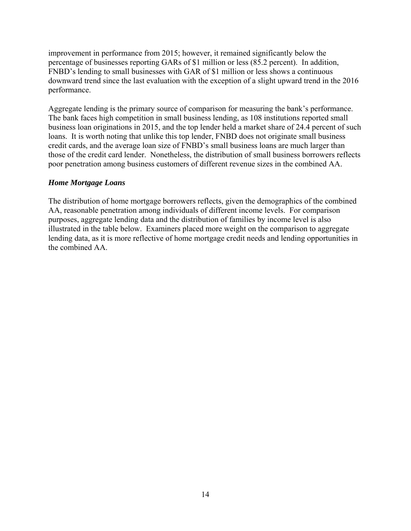improvement in performance from 2015; however, it remained significantly below the percentage of businesses reporting GARs of \$1 million or less (85.2 percent). In addition, FNBD's lending to small businesses with GAR of \$1 million or less shows a continuous downward trend since the last evaluation with the exception of a slight upward trend in the 2016 performance.

Aggregate lending is the primary source of comparison for measuring the bank's performance. The bank faces high competition in small business lending, as 108 institutions reported small business loan originations in 2015, and the top lender held a market share of 24.4 percent of such loans. It is worth noting that unlike this top lender, FNBD does not originate small business credit cards, and the average loan size of FNBD's small business loans are much larger than those of the credit card lender. Nonetheless, the distribution of small business borrowers reflects poor penetration among business customers of different revenue sizes in the combined AA.

### *Home Mortgage Loans*

The distribution of home mortgage borrowers reflects, given the demographics of the combined AA, reasonable penetration among individuals of different income levels. For comparison purposes, aggregate lending data and the distribution of families by income level is also illustrated in the table below. Examiners placed more weight on the comparison to aggregate lending data, as it is more reflective of home mortgage credit needs and lending opportunities in the combined AA.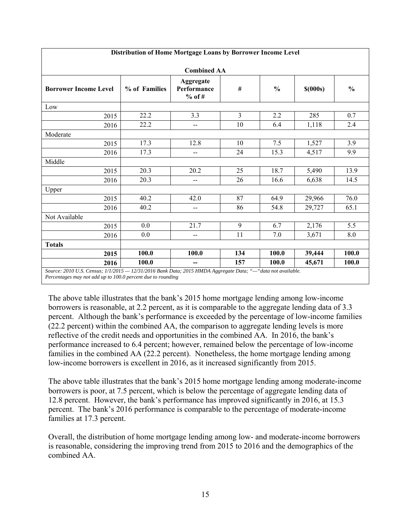| Distribution of Home Mortgage Loans by Borrower Income Level |                                                                                                             |                                      |                |                                    |            |               |  |  |  |  |
|--------------------------------------------------------------|-------------------------------------------------------------------------------------------------------------|--------------------------------------|----------------|------------------------------------|------------|---------------|--|--|--|--|
| <b>Combined AA</b>                                           |                                                                                                             |                                      |                |                                    |            |               |  |  |  |  |
| <b>Borrower Income Level</b>                                 | % of Families                                                                                               | Aggregate<br>Performance<br>$%$ of # | $\#$           | $\mathbf{0}_{\mathbf{0}}^{\prime}$ | $$$ (000s) | $\frac{0}{0}$ |  |  |  |  |
| Low                                                          |                                                                                                             |                                      |                |                                    |            |               |  |  |  |  |
| 2015                                                         | 22.2                                                                                                        | 3.3                                  | $\overline{3}$ | 2.2                                | 285        | 0.7           |  |  |  |  |
| 2016                                                         | 22.2                                                                                                        | --                                   | 10             | 6.4                                | 1,118      | 2.4           |  |  |  |  |
| Moderate                                                     |                                                                                                             |                                      |                |                                    |            |               |  |  |  |  |
| 2015                                                         | 17.3                                                                                                        | 12.8                                 | 10             | 7.5                                | 1,527      | 3.9           |  |  |  |  |
| 2016                                                         | 17.3                                                                                                        | --                                   | 24             | 15.3                               | 4,517      | 9.9           |  |  |  |  |
| Middle                                                       |                                                                                                             |                                      |                |                                    |            |               |  |  |  |  |
| 2015                                                         | 20.3                                                                                                        | 20.2                                 | 25             | 18.7                               | 5,490      | 13.9          |  |  |  |  |
| 2016                                                         | 20.3                                                                                                        | $-$                                  | 26             | 16.6                               | 6,638      | 14.5          |  |  |  |  |
| Upper                                                        |                                                                                                             |                                      |                |                                    |            |               |  |  |  |  |
| 2015                                                         | 40.2                                                                                                        | 42.0                                 | 87             | 64.9                               | 29,966     | 76.0          |  |  |  |  |
| 2016                                                         | 40.2                                                                                                        | $\overline{\phantom{a}}$             | 86             | 54.8                               | 29,727     | 65.1          |  |  |  |  |
| Not Available                                                |                                                                                                             |                                      |                |                                    |            |               |  |  |  |  |
| 2015                                                         | 0.0                                                                                                         | 21.7                                 | 9              | 6.7                                | 2,176      | 5.5           |  |  |  |  |
| 2016                                                         | 0.0                                                                                                         | --                                   | 11             | 7.0                                | 3,671      | 8.0           |  |  |  |  |
| <b>Totals</b>                                                |                                                                                                             |                                      |                |                                    |            |               |  |  |  |  |
| 2015                                                         | 100.0                                                                                                       | 100.0                                | 134            | 100.0                              | 39,444     | 100.0         |  |  |  |  |
| 2016                                                         | 100.0                                                                                                       | --                                   | 157            | 100.0                              | 45,671     | 100.0         |  |  |  |  |
|                                                              | Source: 2010 U.S. Census; 1/1/2015 - 12/31/2016 Bank Data; 2015 HMDA Aggregate Data; "-"data not available. |                                      |                |                                    |            |               |  |  |  |  |

*Percentages may not add up to 100.0 percent due to rounding* 

The above table illustrates that the bank's 2015 home mortgage lending among low-income borrowers is reasonable, at 2.2 percent, as it is comparable to the aggregate lending data of 3.3 percent. Although the bank's performance is exceeded by the percentage of low-income families (22.2 percent) within the combined AA, the comparison to aggregate lending levels is more reflective of the credit needs and opportunities in the combined AA. In 2016, the bank's performance increased to 6.4 percent; however, remained below the percentage of low-income families in the combined AA (22.2 percent). Nonetheless, the home mortgage lending among low-income borrowers is excellent in 2016, as it increased significantly from 2015.

The above table illustrates that the bank's 2015 home mortgage lending among moderate-income borrowers is poor, at 7.5 percent, which is below the percentage of aggregate lending data of 12.8 percent. However, the bank's performance has improved significantly in 2016, at 15.3 percent. The bank's 2016 performance is comparable to the percentage of moderate-income families at 17.3 percent.

Overall, the distribution of home mortgage lending among low- and moderate-income borrowers is reasonable, considering the improving trend from 2015 to 2016 and the demographics of the combined AA.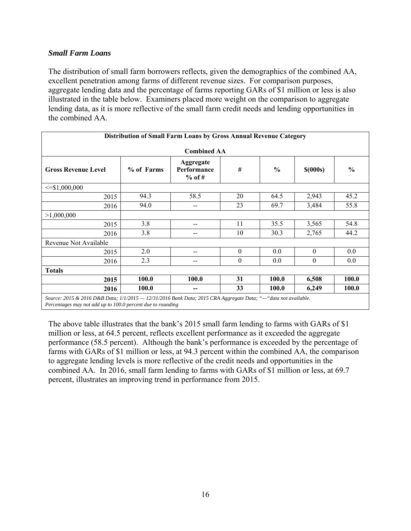## *Small Farm Loans*

The distribution of small farm borrowers reflects, given the demographics of the combined AA, excellent penetration among farms of different revenue sizes. For comparison purposes, aggregate lending data and the percentage of farms reporting GARs of \$1 million or less is also illustrated in the table below. Examiners placed more weight on the comparison to aggregate lending data, as it is more reflective of the small farm credit needs and lending opportunities in the combined AA.

|                                                                                                                                            | Distribution of Small Farm Loans by Gross Annual Revenue Category |                                      |          |               |              |               |  |  |  |  |  |  |
|--------------------------------------------------------------------------------------------------------------------------------------------|-------------------------------------------------------------------|--------------------------------------|----------|---------------|--------------|---------------|--|--|--|--|--|--|
| <b>Combined AA</b>                                                                                                                         |                                                                   |                                      |          |               |              |               |  |  |  |  |  |  |
| <b>Gross Revenue Level</b>                                                                                                                 | % of Farms                                                        | Aggregate<br>Performance<br>$%$ of # | $\#$     | $\frac{0}{0}$ | $$$ (000s)   | $\frac{6}{9}$ |  |  |  |  |  |  |
| $\leq$ \$1,000,000                                                                                                                         |                                                                   |                                      |          |               |              |               |  |  |  |  |  |  |
| 2015                                                                                                                                       | 94.3                                                              | 58.5                                 | 20       | 64.5          | 2,943        | 45.2          |  |  |  |  |  |  |
| 2016                                                                                                                                       | 94.0                                                              | $- -$                                | 23       | 69.7          | 3,484        | 55.8          |  |  |  |  |  |  |
| >1,000,000                                                                                                                                 |                                                                   |                                      |          |               |              |               |  |  |  |  |  |  |
| 2015                                                                                                                                       | 3.8                                                               | $-$                                  | 11       | 35.5          | 3,565        | 54.8          |  |  |  |  |  |  |
| 2016                                                                                                                                       | 3.8                                                               | --                                   | 10       | 30.3          | 2,765        | 44.2          |  |  |  |  |  |  |
| Revenue Not Available                                                                                                                      |                                                                   |                                      |          |               |              |               |  |  |  |  |  |  |
| 2015                                                                                                                                       | 2.0                                                               | --                                   | $\theta$ | 0.0           | $\theta$     | 0.0           |  |  |  |  |  |  |
| 2016                                                                                                                                       | 2.3                                                               | --                                   | $\theta$ | 0.0           | $\mathbf{0}$ | $0.0\,$       |  |  |  |  |  |  |
| <b>Totals</b>                                                                                                                              |                                                                   |                                      |          |               |              |               |  |  |  |  |  |  |
| 2015                                                                                                                                       | 100.0                                                             | 100.0                                | 31       | 100.0         | 6,508        | 100.0         |  |  |  |  |  |  |
| 2016                                                                                                                                       | 100.0                                                             | --                                   | 33       | <b>100.0</b>  | 6,249        | <b>100.0</b>  |  |  |  |  |  |  |
| $S_{\alpha\mu\nu\rho\alpha}, 2015, 8, 2016, DED Data, 1/1/2015 - 12/21/2016$ $Bank Data, 2015, CDA, A_{\alpha\mu\nu\rho\alpha\sigma\beta}$ |                                                                   |                                      |          |               |              |               |  |  |  |  |  |  |

*Source: 2015 & 2016 D&B Data; 1/1/2015 — 12/31/2016 Bank Data; 2015 CRA Aggregate Data; "—"data not available. Percentages may not add up to 100.0 percent due to rounding* 

The above table illustrates that the bank's 2015 small farm lending to farms with GARs of \$1 million or less, at 64.5 percent, reflects excellent performance as it exceeded the aggregate performance (58.5 percent). Although the bank's performance is exceeded by the percentage of farms with GARs of \$1 million or less, at 94.3 percent within the combined AA, the comparison to aggregate lending levels is more reflective of the credit needs and opportunities in the combined AA. In 2016, small farm lending to farms with GARs of \$1 million or less, at 69.7 percent, illustrates an improving trend in performance from 2015.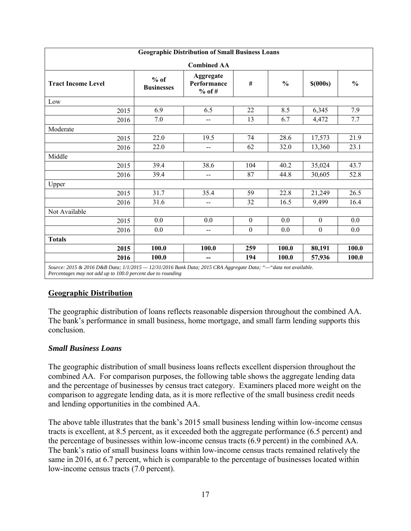| <b>Geographic Distribution of Small Business Loans</b>                                                                                                                        |                             |                                      |              |               |                  |               |  |  |  |  |  |
|-------------------------------------------------------------------------------------------------------------------------------------------------------------------------------|-----------------------------|--------------------------------------|--------------|---------------|------------------|---------------|--|--|--|--|--|
|                                                                                                                                                                               |                             | <b>Combined AA</b>                   |              |               |                  |               |  |  |  |  |  |
| <b>Tract Income Level</b>                                                                                                                                                     | $%$ of<br><b>Businesses</b> | Aggregate<br>Performance<br>$%$ of # | $\#$         | $\frac{0}{0}$ | $$$ (000s)       | $\frac{0}{0}$ |  |  |  |  |  |
| Low                                                                                                                                                                           |                             |                                      |              |               |                  |               |  |  |  |  |  |
| 2015                                                                                                                                                                          | 6.9                         | 6.5                                  | 22           | 8.5           | 6,345            | 7.9           |  |  |  |  |  |
| 2016                                                                                                                                                                          | 7.0                         | $-$                                  | 13           | 6.7           | 4,472            | 7.7           |  |  |  |  |  |
| Moderate                                                                                                                                                                      |                             |                                      |              |               |                  |               |  |  |  |  |  |
| 2015                                                                                                                                                                          | 22.0                        | 19.5                                 | 74           | 28.6          | 17,573           | 21.9          |  |  |  |  |  |
| 2016                                                                                                                                                                          | 22.0                        | $-$                                  | 62           | 32.0          | 13,360           | 23.1          |  |  |  |  |  |
| Middle                                                                                                                                                                        |                             |                                      |              |               |                  |               |  |  |  |  |  |
| 2015                                                                                                                                                                          | 39.4                        | 38.6                                 | 104          | 40.2          | 35,024           | 43.7          |  |  |  |  |  |
| 2016                                                                                                                                                                          | 39.4                        | $\overline{\phantom{a}}$             | 87           | 44.8          | 30,605           | 52.8          |  |  |  |  |  |
| Upper                                                                                                                                                                         |                             |                                      |              |               |                  |               |  |  |  |  |  |
| 2015                                                                                                                                                                          | 31.7                        | 35.4                                 | 59           | 22.8          | 21,249           | 26.5          |  |  |  |  |  |
| 2016                                                                                                                                                                          | 31.6                        | $-$                                  | 32           | 16.5          | 9,499            | 16.4          |  |  |  |  |  |
| Not Available                                                                                                                                                                 |                             |                                      |              |               |                  |               |  |  |  |  |  |
| 2015                                                                                                                                                                          | 0.0                         | 0.0                                  | $\mathbf{0}$ | 0.0           | $\mathbf{0}$     | 0.0           |  |  |  |  |  |
| 2016                                                                                                                                                                          | 0.0                         | $\qquad \qquad \qquad -$             | $\mathbf{0}$ | 0.0           | $\boldsymbol{0}$ | 0.0           |  |  |  |  |  |
| <b>Totals</b>                                                                                                                                                                 |                             |                                      |              |               |                  |               |  |  |  |  |  |
| 2015                                                                                                                                                                          | 100.0                       | 100.0                                | 259          | 100.0         | 80,191           | 100.0         |  |  |  |  |  |
| 2016                                                                                                                                                                          | 100.0                       |                                      | 194          | 100.0         | 57,936           | 100.0         |  |  |  |  |  |
| Source: 2015 & 2016 D&B Data; 1/1/2015 - 12/31/2016 Bank Data; 2015 CRA Aggregate Data; "-"data not available.<br>Percentages may not add up to 100.0 percent due to rounding |                             |                                      |              |               |                  |               |  |  |  |  |  |

## **Geographic Distribution**

The geographic distribution of loans reflects reasonable dispersion throughout the combined AA. The bank's performance in small business, home mortgage, and small farm lending supports this conclusion.

## *Small Business Loans*

The geographic distribution of small business loans reflects excellent dispersion throughout the combined AA. For comparison purposes, the following table shows the aggregate lending data and the percentage of businesses by census tract category. Examiners placed more weight on the comparison to aggregate lending data, as it is more reflective of the small business credit needs and lending opportunities in the combined AA.

The above table illustrates that the bank's 2015 small business lending within low-income census tracts is excellent, at 8.5 percent, as it exceeded both the aggregate performance (6.5 percent) and the percentage of businesses within low-income census tracts (6.9 percent) in the combined AA. The bank's ratio of small business loans within low-income census tracts remained relatively the same in 2016, at 6.7 percent, which is comparable to the percentage of businesses located within low-income census tracts (7.0 percent).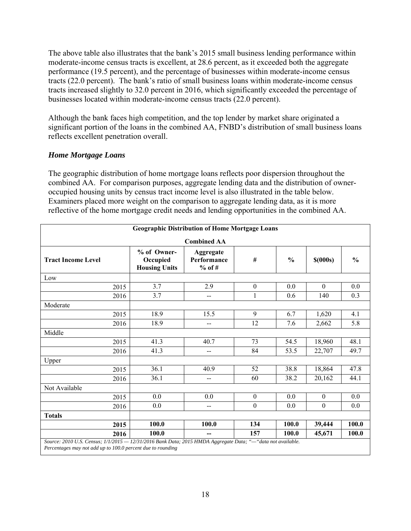The above table also illustrates that the bank's 2015 small business lending performance within moderate-income census tracts is excellent, at 28.6 percent, as it exceeded both the aggregate performance (19.5 percent), and the percentage of businesses within moderate-income census tracts (22.0 percent). The bank's ratio of small business loans within moderate-income census tracts increased slightly to 32.0 percent in 2016, which significantly exceeded the percentage of businesses located within moderate-income census tracts (22.0 percent).

Although the bank faces high competition, and the top lender by market share originated a significant portion of the loans in the combined AA, FNBD's distribution of small business loans reflects excellent penetration overall.

## *Home Mortgage Loans*

The geographic distribution of home mortgage loans reflects poor dispersion throughout the combined AA. For comparison purposes, aggregate lending data and the distribution of owneroccupied housing units by census tract income level is also illustrated in the table below. Examiners placed more weight on the comparison to aggregate lending data, as it is more reflective of the home mortgage credit needs and lending opportunities in the combined AA.

|                                                                                                                                                                            |                                                 | <b>Geographic Distribution of Home Mortgage Loans</b> |                  |               |                  |               |
|----------------------------------------------------------------------------------------------------------------------------------------------------------------------------|-------------------------------------------------|-------------------------------------------------------|------------------|---------------|------------------|---------------|
|                                                                                                                                                                            |                                                 | <b>Combined AA</b>                                    |                  |               |                  |               |
| <b>Tract Income Level</b>                                                                                                                                                  | % of Owner-<br>Occupied<br><b>Housing Units</b> | Aggregate<br>Performance<br>$%$ of #                  | #                | $\frac{0}{0}$ | $$$ (000s)       | $\frac{0}{0}$ |
| Low                                                                                                                                                                        |                                                 |                                                       |                  |               |                  |               |
| 2015                                                                                                                                                                       | 3.7                                             | 2.9                                                   | $\boldsymbol{0}$ | 0.0           | $\theta$         | 0.0           |
| 2016                                                                                                                                                                       | 3.7                                             | --                                                    | $\mathbf{1}$     | 0.6           | 140              | 0.3           |
| Moderate                                                                                                                                                                   |                                                 |                                                       |                  |               |                  |               |
| 2015                                                                                                                                                                       | 18.9                                            | 15.5                                                  | 9                | 6.7           | 1,620            | 4.1           |
| 2016                                                                                                                                                                       | 18.9                                            | --                                                    | 12               | 7.6           | 2,662            | 5.8           |
| Middle                                                                                                                                                                     |                                                 |                                                       |                  |               |                  |               |
| 2015                                                                                                                                                                       | 41.3                                            | 40.7                                                  | 73               | 54.5          | 18,960           | 48.1          |
| 2016                                                                                                                                                                       | 41.3                                            | --                                                    | 84               | 53.5          | 22,707           | 49.7          |
| Upper                                                                                                                                                                      |                                                 |                                                       |                  |               |                  |               |
| 2015                                                                                                                                                                       | 36.1                                            | 40.9                                                  | 52               | 38.8          | 18,864           | 47.8          |
| 2016                                                                                                                                                                       | 36.1                                            | --                                                    | 60               | 38.2          | 20,162           | 44.1          |
| Not Available                                                                                                                                                              |                                                 |                                                       |                  |               |                  |               |
| 2015                                                                                                                                                                       | 0.0                                             | 0.0                                                   | $\boldsymbol{0}$ | 0.0           | $\boldsymbol{0}$ | 0.0           |
| 2016                                                                                                                                                                       | 0.0                                             | --                                                    | $\boldsymbol{0}$ | 0.0           | $\boldsymbol{0}$ | 0.0           |
| <b>Totals</b>                                                                                                                                                              |                                                 |                                                       |                  |               |                  |               |
| 2015                                                                                                                                                                       | 100.0                                           | 100.0                                                 | 134              | 100.0         | 39,444           | 100.0         |
| 2016                                                                                                                                                                       | 100.0                                           | --                                                    | 157              | 100.0         | 45,671           | 100.0         |
| Source: 2010 U.S. Census; 1/1/2015 - 12/31/2016 Bank Data; 2015 HMDA Aggregate Data; "-"data not available.<br>Percentages may not add up to 100.0 percent due to rounding |                                                 |                                                       |                  |               |                  |               |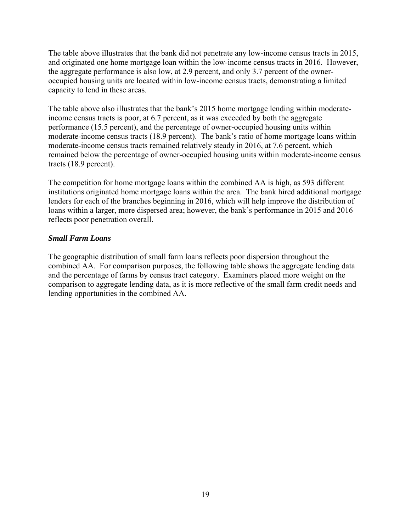The table above illustrates that the bank did not penetrate any low-income census tracts in 2015, and originated one home mortgage loan within the low-income census tracts in 2016. However, the aggregate performance is also low, at 2.9 percent, and only 3.7 percent of the owneroccupied housing units are located within low-income census tracts, demonstrating a limited capacity to lend in these areas.

The table above also illustrates that the bank's 2015 home mortgage lending within moderateincome census tracts is poor, at 6.7 percent, as it was exceeded by both the aggregate performance (15.5 percent), and the percentage of owner-occupied housing units within moderate-income census tracts (18.9 percent). The bank's ratio of home mortgage loans within moderate-income census tracts remained relatively steady in 2016, at 7.6 percent, which remained below the percentage of owner-occupied housing units within moderate-income census tracts (18.9 percent).

The competition for home mortgage loans within the combined AA is high, as 593 different institutions originated home mortgage loans within the area. The bank hired additional mortgage lenders for each of the branches beginning in 2016, which will help improve the distribution of loans within a larger, more dispersed area; however, the bank's performance in 2015 and 2016 reflects poor penetration overall.

## *Small Farm Loans*

The geographic distribution of small farm loans reflects poor dispersion throughout the combined AA. For comparison purposes, the following table shows the aggregate lending data and the percentage of farms by census tract category. Examiners placed more weight on the comparison to aggregate lending data, as it is more reflective of the small farm credit needs and lending opportunities in the combined AA.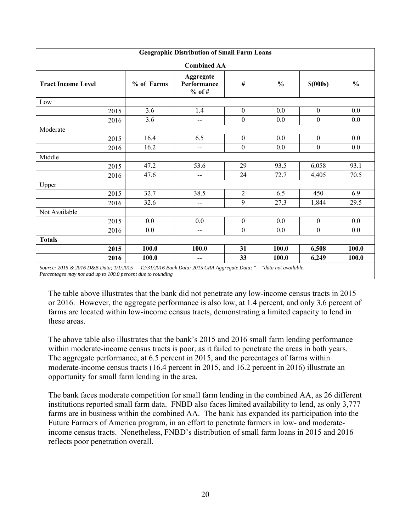| <b>Geographic Distribution of Small Farm Loans</b>                                                                                                                            |            |                                      |                  |               |                  |               |  |  |  |  |  |  |
|-------------------------------------------------------------------------------------------------------------------------------------------------------------------------------|------------|--------------------------------------|------------------|---------------|------------------|---------------|--|--|--|--|--|--|
|                                                                                                                                                                               |            | <b>Combined AA</b>                   |                  |               |                  |               |  |  |  |  |  |  |
| <b>Tract Income Level</b>                                                                                                                                                     | % of Farms | Aggregate<br>Performance<br>$%$ of # | #                | $\frac{6}{9}$ | $$$ (000s)       | $\frac{0}{0}$ |  |  |  |  |  |  |
| Low                                                                                                                                                                           |            |                                      |                  |               |                  |               |  |  |  |  |  |  |
| 2015                                                                                                                                                                          | 3.6        | 1.4                                  | $\mathbf{0}$     | 0.0           | $\boldsymbol{0}$ | 0.0           |  |  |  |  |  |  |
| 2016                                                                                                                                                                          | 3.6        | --                                   | $\boldsymbol{0}$ | 0.0           | $\boldsymbol{0}$ | 0.0           |  |  |  |  |  |  |
| Moderate                                                                                                                                                                      |            |                                      |                  |               |                  |               |  |  |  |  |  |  |
| 2015                                                                                                                                                                          | 16.4       | 6.5                                  | $\mathbf{0}$     | 0.0           | $\boldsymbol{0}$ | 0.0           |  |  |  |  |  |  |
| 2016                                                                                                                                                                          | 16.2       | $-$                                  | $\mathbf{0}$     | 0.0           | $\boldsymbol{0}$ | 0.0           |  |  |  |  |  |  |
| Middle                                                                                                                                                                        |            |                                      |                  |               |                  |               |  |  |  |  |  |  |
| 2015                                                                                                                                                                          | 47.2       | 53.6                                 | 29               | 93.5          | 6,058            | 93.1          |  |  |  |  |  |  |
| 2016                                                                                                                                                                          | 47.6       | $-$                                  | 24               | 72.7          | 4,405            | 70.5          |  |  |  |  |  |  |
| Upper                                                                                                                                                                         |            |                                      |                  |               |                  |               |  |  |  |  |  |  |
| 2015                                                                                                                                                                          | 32.7       | 38.5                                 | $\overline{2}$   | 6.5           | 450              | 6.9           |  |  |  |  |  |  |
| 2016                                                                                                                                                                          | 32.6       | --                                   | 9                | 27.3          | 1,844            | 29.5          |  |  |  |  |  |  |
| Not Available                                                                                                                                                                 |            |                                      |                  |               |                  |               |  |  |  |  |  |  |
| 2015                                                                                                                                                                          | 0.0        | 0.0                                  | $\mathbf{0}$     | 0.0           | $\boldsymbol{0}$ | 0.0           |  |  |  |  |  |  |
| 2016                                                                                                                                                                          | 0.0        | $- -$                                | $\boldsymbol{0}$ | 0.0           | $\boldsymbol{0}$ | 0.0           |  |  |  |  |  |  |
| <b>Totals</b>                                                                                                                                                                 |            |                                      |                  |               |                  |               |  |  |  |  |  |  |
| 2015                                                                                                                                                                          | 100.0      | 100.0                                | 31               | 100.0         | 6,508            | 100.0         |  |  |  |  |  |  |
| 2016                                                                                                                                                                          | 100.0      | --                                   | 33               | 100.0         | 6,249            | 100.0         |  |  |  |  |  |  |
| Source: 2015 & 2016 D&B Data; 1/1/2015 - 12/31/2016 Bank Data; 2015 CRA Aggregate Data; "-"data not available.<br>Percentages may not add up to 100.0 percent due to rounding |            |                                      |                  |               |                  |               |  |  |  |  |  |  |

The table above illustrates that the bank did not penetrate any low-income census tracts in 2015 or 2016. However, the aggregate performance is also low, at 1.4 percent, and only 3.6 percent of farms are located within low-income census tracts, demonstrating a limited capacity to lend in these areas.

The above table also illustrates that the bank's 2015 and 2016 small farm lending performance within moderate-income census tracts is poor, as it failed to penetrate the areas in both years. The aggregate performance, at 6.5 percent in 2015, and the percentages of farms within moderate-income census tracts (16.4 percent in 2015, and 16.2 percent in 2016) illustrate an opportunity for small farm lending in the area.

The bank faces moderate competition for small farm lending in the combined AA, as 26 different institutions reported small farm data. FNBD also faces limited availability to lend, as only 3,777 farms are in business within the combined AA. The bank has expanded its participation into the Future Farmers of America program, in an effort to penetrate farmers in low- and moderateincome census tracts. Nonetheless, FNBD's distribution of small farm loans in 2015 and 2016 reflects poor penetration overall.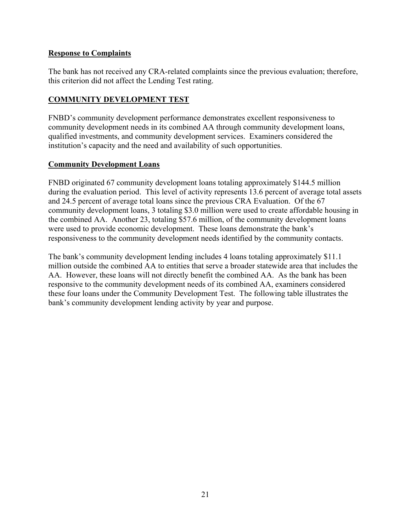## **Response to Complaints**

The bank has not received any CRA-related complaints since the previous evaluation; therefore, this criterion did not affect the Lending Test rating.

## **COMMUNITY DEVELOPMENT TEST**

FNBD's community development performance demonstrates excellent responsiveness to community development needs in its combined AA through community development loans, qualified investments, and community development services. Examiners considered the institution's capacity and the need and availability of such opportunities.

## **Community Development Loans**

FNBD originated 67 community development loans totaling approximately \$144.5 million during the evaluation period. This level of activity represents 13.6 percent of average total assets and 24.5 percent of average total loans since the previous CRA Evaluation. Of the 67 community development loans, 3 totaling \$3.0 million were used to create affordable housing in the combined AA. Another 23, totaling \$57.6 million, of the community development loans were used to provide economic development. These loans demonstrate the bank's responsiveness to the community development needs identified by the community contacts.

The bank's community development lending includes 4 loans totaling approximately \$11.1 million outside the combined AA to entities that serve a broader statewide area that includes the AA. However, these loans will not directly benefit the combined AA. As the bank has been responsive to the community development needs of its combined AA, examiners considered these four loans under the Community Development Test. The following table illustrates the bank's community development lending activity by year and purpose.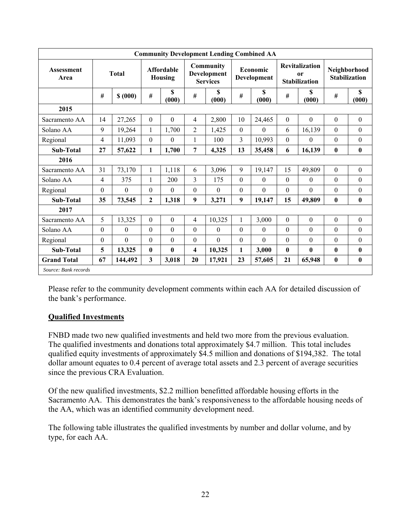|                           | <b>Community Development Lending Combined AA</b> |              |              |                                     |                  |                                                    |              |                         |              |                                                     |          |                                      |  |
|---------------------------|--------------------------------------------------|--------------|--------------|-------------------------------------|------------------|----------------------------------------------------|--------------|-------------------------|--------------|-----------------------------------------------------|----------|--------------------------------------|--|
| <b>Assessment</b><br>Area | <b>Total</b>                                     |              |              | <b>Affordable</b><br><b>Housing</b> |                  | Community<br><b>Development</b><br><b>Services</b> |              | Economic<br>Development |              | <b>Revitalization</b><br>or<br><b>Stabilization</b> |          | Neighborhood<br><b>Stabilization</b> |  |
|                           | #                                                | \$ (000)     | #            | \$<br>(000)                         | #                | \$<br>(000)                                        | $\#$         | $\mathbf S$<br>(000)    | $\#$         | \$<br>(000)                                         | $\#$     | $\boldsymbol{\mathsf{S}}$<br>(000)   |  |
| 2015                      |                                                  |              |              |                                     |                  |                                                    |              |                         |              |                                                     |          |                                      |  |
| Sacramento AA             | 14                                               | 27,265       | $\Omega$     | $\theta$                            | 4                | 2,800                                              | 10           | 24,465                  | $\mathbf{0}$ | $\mathbf{0}$                                        | $\theta$ | $\boldsymbol{0}$                     |  |
| Solano AA                 | 9                                                | 19,264       | 1            | 1,700                               | $\overline{2}$   | 1,425                                              | $\theta$     | $\Omega$                | 6            | 16,139                                              | $\theta$ | $\mathbf{0}$                         |  |
| Regional                  | 4                                                | 11,093       | $\Omega$     | 0                                   | $\mathbf{1}$     | 100                                                | 3            | 10,993                  | $\mathbf{0}$ | $\Omega$                                            | $\Omega$ | $\theta$                             |  |
| <b>Sub-Total</b>          | 27                                               | 57,622       | 1            | 1,700                               | 7                | 4,325                                              | 13           | 35,458                  | 6            | 16,139                                              | $\bf{0}$ | $\bf{0}$                             |  |
| 2016                      |                                                  |              |              |                                     |                  |                                                    |              |                         |              |                                                     |          |                                      |  |
| Sacramento AA             | 31                                               | 73,170       | $\mathbf{1}$ | 1,118                               | 6                | 3,096                                              | 9            | 19,147                  | 15           | 49,809                                              | $\theta$ | $\boldsymbol{0}$                     |  |
| Solano AA                 | 4                                                | 375          | 1            | 200                                 | 3                | 175                                                | $\theta$     | $\theta$                | $\theta$     | $\theta$                                            | $\theta$ | $\theta$                             |  |
| Regional                  | $\theta$                                         | $\Omega$     | $\Omega$     | 0                                   | $\theta$         | $\theta$                                           | $\theta$     | $\theta$                | $\Omega$     | $\Omega$                                            | $\Omega$ | $\mathbf{0}$                         |  |
| <b>Sub-Total</b>          | 35                                               | 73,545       | $\mathbf{2}$ | 1,318                               | 9                | 3,271                                              | 9            | 19,147                  | 15           | 49,809                                              | $\bf{0}$ | $\bf{0}$                             |  |
| 2017                      |                                                  |              |              |                                     |                  |                                                    |              |                         |              |                                                     |          |                                      |  |
| Sacramento AA             | 5                                                | 13,325       | $\mathbf{0}$ | $\boldsymbol{0}$                    | 4                | 10,325                                             | $\mathbf{1}$ | 3,000                   | $\mathbf{0}$ | $\mathbf{0}$                                        | $\theta$ | $\mathbf{0}$                         |  |
| Solano AA                 | $\boldsymbol{0}$                                 | $\mathbf{0}$ | $\Omega$     | $\theta$                            | $\theta$         | $\theta$                                           | $\theta$     | $\mathbf{0}$            | $\Omega$     | $\Omega$                                            | $\theta$ | $\mathbf{0}$                         |  |
| Regional                  | $\theta$                                         | $\theta$     | $\mathbf{0}$ | 0                                   | $\boldsymbol{0}$ | $\theta$                                           | $\theta$     | $\theta$                | $\theta$     | $\mathbf{0}$                                        | $\theta$ | $\mathbf{0}$                         |  |
| Sub-Total                 | 5                                                | 13,325       | $\bf{0}$     | 0                                   | 4                | 10,325                                             | 1            | 3,000                   | $\mathbf{0}$ | $\bf{0}$                                            | 0        | $\mathbf{0}$                         |  |
| <b>Grand Total</b>        | 67                                               | 144,492      | 3            | 3,018                               | 20               | 17,921                                             | 23           | 57,605                  | 21           | 65,948                                              | $\bf{0}$ | $\bf{0}$                             |  |
| Source: Bank records      |                                                  |              |              |                                     |                  |                                                    |              |                         |              |                                                     |          |                                      |  |

Please refer to the community development comments within each AA for detailed discussion of the bank's performance.

## **Qualified Investments**

FNBD made two new qualified investments and held two more from the previous evaluation. The qualified investments and donations total approximately \$4.7 million. This total includes qualified equity investments of approximately \$4.5 million and donations of \$194,382. The total dollar amount equates to 0.4 percent of average total assets and 2.3 percent of average securities since the previous CRA Evaluation.

Of the new qualified investments, \$2.2 million benefitted affordable housing efforts in the Sacramento AA. This demonstrates the bank's responsiveness to the affordable housing needs of the AA, which was an identified community development need.

The following table illustrates the qualified investments by number and dollar volume, and by type, for each AA.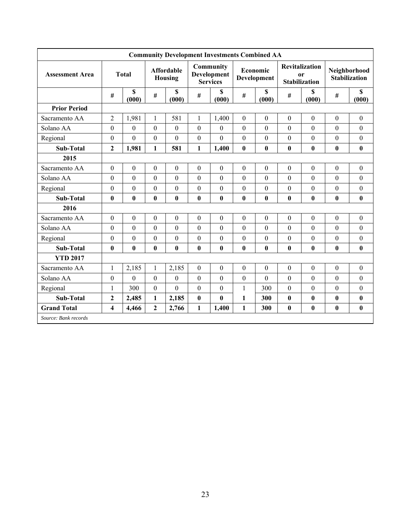|                        |                         |                  |                  |                              |                  | <b>Community Development Investments Combined AA</b> |                  |                         |                  |                                                     |                  |                                      |
|------------------------|-------------------------|------------------|------------------|------------------------------|------------------|------------------------------------------------------|------------------|-------------------------|------------------|-----------------------------------------------------|------------------|--------------------------------------|
| <b>Assessment Area</b> |                         | <b>Total</b>     |                  | <b>Affordable</b><br>Housing |                  | Community<br>Development<br><b>Services</b>          |                  | Economic<br>Development |                  | <b>Revitalization</b><br>0r<br><b>Stabilization</b> |                  | Neighborhood<br><b>Stabilization</b> |
|                        | #                       | \$<br>(000)      | $\#$             | \$<br>(000)                  | $\#$             | S<br>(000)                                           | $\#$             | \$<br>(000)             | $\#$             | \$<br>(000)                                         | $\#$             | \$<br>(000)                          |
| <b>Prior Period</b>    |                         |                  |                  |                              |                  |                                                      |                  |                         |                  |                                                     |                  |                                      |
| Sacramento AA          | $\overline{c}$          | 1,981            | $\mathbf{1}$     | 581                          | $\mathbf{1}$     | 1,400                                                | $\boldsymbol{0}$ | $\boldsymbol{0}$        | $\boldsymbol{0}$ | $\boldsymbol{0}$                                    | $\boldsymbol{0}$ | $\mathbf{0}$                         |
| Solano AA              | $\boldsymbol{0}$        | $\mathbf{0}$     | $\mathbf{0}$     | $\mathbf{0}$                 | $\theta$         | $\mathbf{0}$                                         | $\mathbf{0}$     | $\overline{0}$          | $\theta$         | $\mathbf{0}$                                        | $\mathbf{0}$     | $\boldsymbol{0}$                     |
| Regional               | $\theta$                | $\mathbf{0}$     | $\mathbf{0}$     | $\theta$                     | $\theta$         | $\overline{0}$                                       | $\theta$         | $\theta$                | $\theta$         | $\theta$                                            | $\mathbf{0}$     | $\boldsymbol{0}$                     |
| <b>Sub-Total</b>       | $\mathbf{2}$            | 1,981            | $\mathbf{1}$     | 581                          | 1                | 1,400                                                | $\bf{0}$         | $\bf{0}$                | $\bf{0}$         | $\pmb{0}$                                           | $\bf{0}$         | $\bf{0}$                             |
| 2015                   |                         |                  |                  |                              |                  |                                                      |                  |                         |                  |                                                     |                  |                                      |
| Sacramento AA          | $\mathbf{0}$            | $\mathbf{0}$     | $\mathbf{0}$     | $\mathbf{0}$                 | $\mathbf{0}$     | $\mathbf{0}$                                         | $\boldsymbol{0}$ | $\boldsymbol{0}$        | $\mathbf{0}$     | $\mathbf{0}$                                        | $\mathbf{0}$     | $\boldsymbol{0}$                     |
| Solano AA              | $\boldsymbol{0}$        | $\theta$         | $\boldsymbol{0}$ | $\mathbf{0}$                 | $\boldsymbol{0}$ | $\theta$                                             | $\mathbf{0}$     | $\boldsymbol{0}$        | $\boldsymbol{0}$ | $\mathbf{0}$                                        | $\theta$         | $\boldsymbol{0}$                     |
| Regional               | $\boldsymbol{0}$        | $\theta$         | $\boldsymbol{0}$ | $\mathbf{0}$                 | $\boldsymbol{0}$ | $\theta$                                             | $\boldsymbol{0}$ | $\theta$                | $\boldsymbol{0}$ | $\mathbf{0}$                                        | $\theta$         | $\boldsymbol{0}$                     |
| <b>Sub-Total</b>       | $\bf{0}$                | $\bf{0}$         | $\bf{0}$         | $\bf{0}$                     | $\bf{0}$         | $\bf{0}$                                             | $\bf{0}$         | $\bf{0}$                | $\bf{0}$         | $\bf{0}$                                            | $\mathbf{0}$     | $\bf{0}$                             |
| 2016                   |                         |                  |                  |                              |                  |                                                      |                  |                         |                  |                                                     |                  |                                      |
| Sacramento AA          | $\boldsymbol{0}$        | $\boldsymbol{0}$ | $\boldsymbol{0}$ | $\boldsymbol{0}$             | $\boldsymbol{0}$ | $\boldsymbol{0}$                                     | $\boldsymbol{0}$ | $\boldsymbol{0}$        | $\boldsymbol{0}$ | $\boldsymbol{0}$                                    | $\boldsymbol{0}$ | $\boldsymbol{0}$                     |
| Solano AA              | $\mathbf{0}$            | $\mathbf{0}$     | $\boldsymbol{0}$ | $\mathbf{0}$                 | $\boldsymbol{0}$ | $\overline{0}$                                       | $\boldsymbol{0}$ | $\overline{0}$          | $\theta$         | $\mathbf{0}$                                        | $\theta$         | $\boldsymbol{0}$                     |
| Regional               | $\theta$                | $\theta$         | $\boldsymbol{0}$ | $\mathbf{0}$                 | $\theta$         | $\theta$                                             | $\boldsymbol{0}$ | $\theta$                | $\boldsymbol{0}$ | $\mathbf{0}$                                        | $\theta$         | $\boldsymbol{0}$                     |
| <b>Sub-Total</b>       | $\bf{0}$                | $\mathbf{0}$     | $\bf{0}$         | $\bf{0}$                     | $\bf{0}$         | $\bf{0}$                                             | 0                | $\bf{0}$                | $\mathbf{0}$     | $\bf{0}$                                            | $\mathbf{0}$     | $\bf{0}$                             |
| <b>YTD 2017</b>        |                         |                  |                  |                              |                  |                                                      |                  |                         |                  |                                                     |                  |                                      |
| Sacramento AA          | $\mathbf{1}$            | 2,185            | $\mathbf{1}$     | 2,185                        | $\boldsymbol{0}$ | $\boldsymbol{0}$                                     | $\boldsymbol{0}$ | $\boldsymbol{0}$        | $\boldsymbol{0}$ | $\boldsymbol{0}$                                    | $\boldsymbol{0}$ | $\boldsymbol{0}$                     |
| Solano AA              | $\boldsymbol{0}$        | $\mathbf{0}$     | $\boldsymbol{0}$ | $\mathbf{0}$                 | $\boldsymbol{0}$ | $\overline{0}$                                       | $\boldsymbol{0}$ | $\overline{0}$          | $\mathbf{0}$     | $\mathbf{0}$                                        | $\mathbf{0}$     | $\boldsymbol{0}$                     |
| Regional               | 1                       | 300              | $\boldsymbol{0}$ | $\mathbf{0}$                 | $\boldsymbol{0}$ | $\boldsymbol{0}$                                     | $\mathbf{1}$     | 300                     | $\boldsymbol{0}$ | $\boldsymbol{0}$                                    | $\boldsymbol{0}$ | $\boldsymbol{0}$                     |
| <b>Sub-Total</b>       | $\mathbf{2}$            | 2,485            | $\mathbf{1}$     | 2,185                        | $\bf{0}$         | $\bf{0}$                                             | 1                | 300                     | $\bf{0}$         | $\bf{0}$                                            | $\boldsymbol{0}$ | $\bf{0}$                             |
| <b>Grand Total</b>     | $\overline{\mathbf{4}}$ | 4,466            | $\mathbf{2}$     | 2,766                        | 1                | 1,400                                                | $\mathbf{1}$     | 300                     | $\mathbf{0}$     | $\mathbf{0}$                                        | $\mathbf{0}$     | 0                                    |
| Source: Bank records   |                         |                  |                  |                              |                  |                                                      |                  |                         |                  |                                                     |                  |                                      |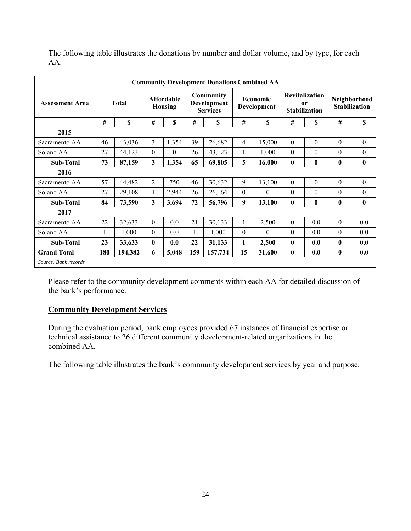| <b>Community Development Donations Combined AA</b> |     |              |                         |                                     |     |                                             |                |                         |              |                                               |              |                                      |
|----------------------------------------------------|-----|--------------|-------------------------|-------------------------------------|-----|---------------------------------------------|----------------|-------------------------|--------------|-----------------------------------------------|--------------|--------------------------------------|
| <b>Assessment Area</b>                             |     | <b>Total</b> |                         | <b>Affordable</b><br><b>Housing</b> |     | Community<br>Development<br><b>Services</b> |                | Economic<br>Development | 0r           | <b>Revitalization</b><br><b>Stabilization</b> |              | Neighborhood<br><b>Stabilization</b> |
|                                                    | #   | \$           | #                       | \$                                  | #   | \$                                          | #              | \$                      | #            | \$                                            | #            | \$                                   |
| 2015                                               |     |              |                         |                                     |     |                                             |                |                         |              |                                               |              |                                      |
| Sacramento AA                                      | 46  | 43,036       | 3                       | 1,354                               | 39  | 26,682                                      | $\overline{4}$ | 15,000                  | $\mathbf{0}$ | $\Omega$                                      | $\mathbf{0}$ | $\boldsymbol{0}$                     |
| Solano AA                                          | 27  | 44,123       | $\theta$                | $\Omega$                            | 26  | 43,123                                      | 1              | 1,000                   | $\theta$     | $\theta$                                      | $\theta$     | $\theta$                             |
| Sub-Total                                          | 73  | 87,159       | $\overline{\mathbf{3}}$ | 1,354                               | 65  | 69,805                                      | 5              | 16,000                  | $\mathbf{0}$ | $\mathbf{0}$                                  | $\bf{0}$     | $\bf{0}$                             |
| 2016                                               |     |              |                         |                                     |     |                                             |                |                         |              |                                               |              |                                      |
| Sacramento AA                                      | 57  | 44,482       | $\overline{2}$          | 750                                 | 46  | 30,632                                      | 9              | 13,100                  | $\Omega$     | $\theta$                                      | $\theta$     | $\boldsymbol{0}$                     |
| Solano AA                                          | 27  | 29,108       | 1                       | 2,944                               | 26  | 26,164                                      | $\theta$       | $\theta$                | $\Omega$     | $\Omega$                                      | $\theta$     | $\mathbf{0}$                         |
| <b>Sub-Total</b>                                   | 84  | 73,590       | 3                       | 3,694                               | 72  | 56,796                                      | 9              | 13,100                  | $\bf{0}$     | $\bf{0}$                                      | $\bf{0}$     | $\bf{0}$                             |
| 2017                                               |     |              |                         |                                     |     |                                             |                |                         |              |                                               |              |                                      |
| Sacramento AA                                      | 22  | 32,633       | $\theta$                | 0.0                                 | 21  | 30,133                                      | 1              | 2,500                   | $\theta$     | 0.0                                           | $\theta$     | 0.0                                  |
| Solano AA                                          | 1   | 1,000        | $\theta$                | 0.0                                 |     | 1,000                                       | $\theta$       | $\Omega$                | $\Omega$     | 0.0                                           | $\Omega$     | 0.0                                  |
| <b>Sub-Total</b>                                   | 23  | 33,633       | $\mathbf{0}$            | 0.0                                 | 22  | 31,133                                      | 1              | 2,500                   | $\mathbf{0}$ | 0.0                                           | 0            | 0.0                                  |
| <b>Grand Total</b>                                 | 180 | 194,382      | 6                       | 5,048                               | 159 | 157,734                                     | 15             | 31,600                  | $\bf{0}$     | 0.0                                           | $\bf{0}$     | 0.0                                  |
| Source: Bank records                               |     |              |                         |                                     |     |                                             |                |                         |              |                                               |              |                                      |

The following table illustrates the donations by number and dollar volume, and by type, for each AA.

Please refer to the community development comments within each AA for detailed discussion of the bank's performance.

## **Community Development Services**

During the evaluation period, bank employees provided 67 instances of financial expertise or technical assistance to 26 different community development-related organizations in the combined AA.

The following table illustrates the bank's community development services by year and purpose.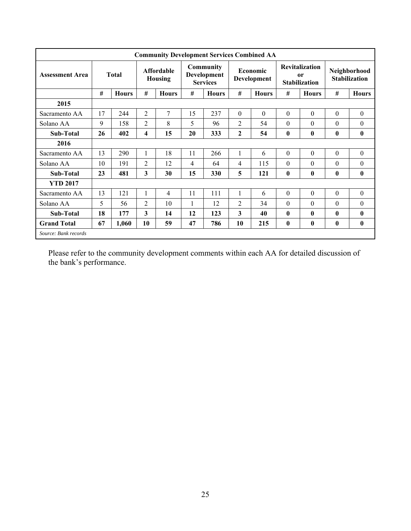| <b>Community Development Services Combined AA</b> |       |              |                                     |              |                                             |              |                |                         |                                                     |              |                                      |                  |
|---------------------------------------------------|-------|--------------|-------------------------------------|--------------|---------------------------------------------|--------------|----------------|-------------------------|-----------------------------------------------------|--------------|--------------------------------------|------------------|
| <b>Assessment Area</b>                            | Total |              | <b>Affordable</b><br><b>Housing</b> |              | Community<br>Development<br><b>Services</b> |              |                | Economic<br>Development | <b>Revitalization</b><br>or<br><b>Stabilization</b> |              | Neighborhood<br><b>Stabilization</b> |                  |
|                                                   | #     | <b>Hours</b> | #                                   | <b>Hours</b> | #                                           | <b>Hours</b> | #              | <b>Hours</b>            | #                                                   | <b>Hours</b> | #                                    | <b>Hours</b>     |
| 2015                                              |       |              |                                     |              |                                             |              |                |                         |                                                     |              |                                      |                  |
| Sacramento AA                                     | 17    | 244          | $\overline{c}$                      | 7            | 15                                          | 237          | $\theta$       | $\theta$                | $\theta$                                            | $\theta$     | $\theta$                             | $\boldsymbol{0}$ |
| Solano AA                                         | 9     | 158          | $\overline{2}$                      | 8            | 5                                           | 96           | $\overline{2}$ | 54                      | $\theta$                                            | $\theta$     | $\theta$                             | $\theta$         |
| Sub-Total                                         | 26    | 402          | 4                                   | 15           | 20                                          | 333          | $\mathbf{2}$   | 54                      | $\bf{0}$                                            | $\bf{0}$     | $\bf{0}$                             | $\bf{0}$         |
| 2016                                              |       |              |                                     |              |                                             |              |                |                         |                                                     |              |                                      |                  |
| Sacramento AA                                     | 13    | 290          | 1                                   | 18           | 11                                          | 266          |                | 6                       | $\theta$                                            | $\theta$     | $\theta$                             | $\theta$         |
| Solano AA                                         | 10    | 191          | 2                                   | 12           | $\overline{4}$                              | 64           | 4              | 115                     | $\theta$                                            | $\theta$     | $\theta$                             | $\theta$         |
| Sub-Total                                         | 23    | 481          | 3                                   | 30           | 15                                          | 330          | 5              | 121                     | $\bf{0}$                                            | $\bf{0}$     | $\mathbf{0}$                         | $\bf{0}$         |
| <b>YTD 2017</b>                                   |       |              |                                     |              |                                             |              |                |                         |                                                     |              |                                      |                  |
| Sacramento AA                                     | 13    | 121          | 1                                   | 4            | 11                                          | 111          | 1              | 6                       | $\theta$                                            | $\mathbf{0}$ | $\theta$                             | $\theta$         |
| Solano AA                                         | 5     | 56           | 2                                   | 10           | $\mathbf{1}$                                | 12           | $\overline{2}$ | 34                      | $\theta$                                            | $\theta$     | $\theta$                             | $\theta$         |
| Sub-Total                                         | 18    | 177          | 3                                   | 14           | 12                                          | 123          | 3              | 40                      | $\mathbf{0}$                                        | $\mathbf{0}$ | 0                                    | $\mathbf{0}$     |
| <b>Grand Total</b>                                | 67    | 1,060        | 10                                  | 59           | 47                                          | 786          | 10             | 215                     | $\bf{0}$                                            | $\bf{0}$     | $\bf{0}$                             | $\bf{0}$         |
| Source: Bank records                              |       |              |                                     |              |                                             |              |                |                         |                                                     |              |                                      |                  |

Please refer to the community development comments within each AA for detailed discussion of the bank's performance.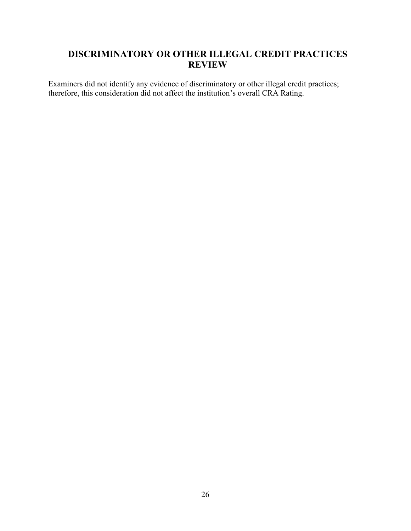## **DISCRIMINATORY OR OTHER ILLEGAL CREDIT PRACTICES REVIEW**

Examiners did not identify any evidence of discriminatory or other illegal credit practices; therefore, this consideration did not affect the institution's overall CRA Rating.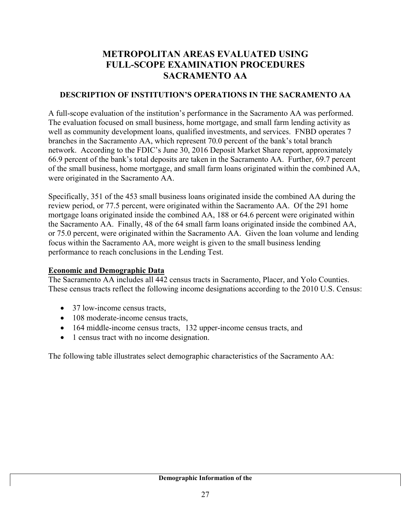## **METROPOLITAN AREAS EVALUATED USING FULL-SCOPE EXAMINATION PROCEDURES SACRAMENTO AA**

## **DESCRIPTION OF INSTITUTION'S OPERATIONS IN THE SACRAMENTO AA**

A full-scope evaluation of the institution's performance in the Sacramento AA was performed. The evaluation focused on small business, home mortgage, and small farm lending activity as well as community development loans, qualified investments, and services. FNBD operates 7 branches in the Sacramento AA, which represent 70.0 percent of the bank's total branch network. According to the FDIC's June 30, 2016 Deposit Market Share report, approximately 66.9 percent of the bank's total deposits are taken in the Sacramento AA. Further, 69.7 percent of the small business, home mortgage, and small farm loans originated within the combined AA, were originated in the Sacramento AA.

Specifically, 351 of the 453 small business loans originated inside the combined AA during the review period, or 77.5 percent, were originated within the Sacramento AA. Of the 291 home mortgage loans originated inside the combined AA, 188 or 64.6 percent were originated within the Sacramento AA. Finally, 48 of the 64 small farm loans originated inside the combined AA, or 75.0 percent, were originated within the Sacramento AA. Given the loan volume and lending focus within the Sacramento AA, more weight is given to the small business lending performance to reach conclusions in the Lending Test.

## **Economic and Demographic Data**

The Sacramento AA includes all 442 census tracts in Sacramento, Placer, and Yolo Counties. These census tracts reflect the following income designations according to the 2010 U.S. Census:

- 37 low-income census tracts,
- 108 moderate-income census tracts,
- 164 middle-income census tracts, 132 upper-income census tracts, and
- 1 census tract with no income designation.

The following table illustrates select demographic characteristics of the Sacramento AA: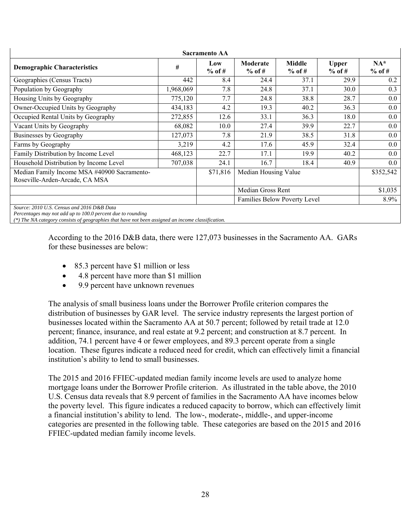| <b>Sacramento AA</b>                                                                                      |           |                 |                      |                              |                          |                    |  |  |  |  |  |
|-----------------------------------------------------------------------------------------------------------|-----------|-----------------|----------------------|------------------------------|--------------------------|--------------------|--|--|--|--|--|
| <b>Demographic Characteristics</b>                                                                        | #         | Low<br>$%$ of # | Moderate<br>$%$ of # | <b>Middle</b><br>$%$ of #    | <b>Upper</b><br>$%$ of # | $NA^*$<br>$%$ of # |  |  |  |  |  |
| Geographies (Census Tracts)                                                                               | 442       | 8.4             | 24.4                 | 37.1                         | 29.9                     | 0.2                |  |  |  |  |  |
| Population by Geography                                                                                   | 1,968,069 | 7.8             | 24.8                 | 37.1                         | 30.0                     | 0.3                |  |  |  |  |  |
| Housing Units by Geography                                                                                | 775,120   | 7.7             | 24.8                 | 38.8                         | 28.7                     | $0.0\,$            |  |  |  |  |  |
| Owner-Occupied Units by Geography                                                                         | 434,183   | 4.2             | 19.3                 | 40.2                         | 36.3                     | $0.0\,$            |  |  |  |  |  |
| Occupied Rental Units by Geography                                                                        | 272,855   | 12.6            | 33.1                 | 36.3                         | 18.0                     | $0.0\,$            |  |  |  |  |  |
| Vacant Units by Geography                                                                                 | 68,082    | 10.0            | 27.4                 | 39.9                         | 22.7                     | 0.0                |  |  |  |  |  |
| Businesses by Geography                                                                                   | 127,073   | 7.8             | 21.9                 | 38.5                         | 31.8                     | $0.0\,$            |  |  |  |  |  |
| Farms by Geography                                                                                        | 3,219     | 4.2             | 17.6                 | 45.9                         | 32.4                     | $0.0\,$            |  |  |  |  |  |
| Family Distribution by Income Level                                                                       | 468,123   | 22.7            | 17.1                 | 19.9                         | 40.2                     | $0.0\,$            |  |  |  |  |  |
| Household Distribution by Income Level                                                                    | 707,038   | 24.1            | 16.7                 | 18.4                         | 40.9                     | $0.0\,$            |  |  |  |  |  |
| Median Family Income MSA #40900 Sacramento-<br>Roseville-Arden-Arcade, CA MSA                             |           | \$71,816        | Median Housing Value |                              |                          | \$352,542          |  |  |  |  |  |
|                                                                                                           |           |                 | Median Gross Rent    |                              |                          | \$1,035            |  |  |  |  |  |
|                                                                                                           |           |                 |                      | Families Below Poverty Level |                          | 8.9%               |  |  |  |  |  |
| Source: 2010 U.S. Census and 2016 D&B Data<br>Percentages may not add up to 100.0 percent due to rounding |           |                 |                      |                              |                          |                    |  |  |  |  |  |

*(\*) The NA category consists of geographies that have not been assigned an income classification.* 

According to the 2016 D&B data, there were 127,073 businesses in the Sacramento AA. GARs for these businesses are below:

- 85.3 percent have \$1 million or less
- 4.8 percent have more than \$1 million
- 9.9 percent have unknown revenues

The analysis of small business loans under the Borrower Profile criterion compares the distribution of businesses by GAR level. The service industry represents the largest portion of businesses located within the Sacramento AA at 50.7 percent; followed by retail trade at 12.0 percent; finance, insurance, and real estate at 9.2 percent; and construction at 8.7 percent. In addition, 74.1 percent have 4 or fewer employees, and 89.3 percent operate from a single location. These figures indicate a reduced need for credit, which can effectively limit a financial institution's ability to lend to small businesses.

The 2015 and 2016 FFIEC-updated median family income levels are used to analyze home mortgage loans under the Borrower Profile criterion. As illustrated in the table above, the 2010 U.S. Census data reveals that 8.9 percent of families in the Sacramento AA have incomes below the poverty level. This figure indicates a reduced capacity to borrow, which can effectively limit a financial institution's ability to lend. The low-, moderate-, middle-, and upper-income categories are presented in the following table. These categories are based on the 2015 and 2016 FFIEC-updated median family income levels.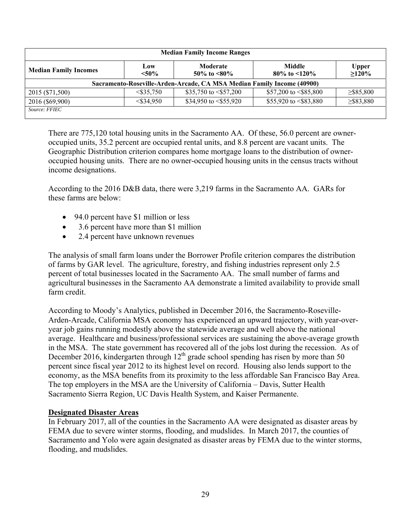| <b>Median Family Income Ranges</b> |                 |                                                                        |                                       |                          |  |  |  |  |  |  |
|------------------------------------|-----------------|------------------------------------------------------------------------|---------------------------------------|--------------------------|--|--|--|--|--|--|
| <b>Median Family Incomes</b>       | Low<br>$< 50\%$ | Moderate<br>50\% to $\leq 80\%$                                        | <b>Middle</b><br>80\% to $\leq 120\%$ | <b>Upper</b><br>$>120\%$ |  |  |  |  |  |  |
|                                    |                 | Sacramento-Roseville-Arden-Arcade, CA MSA Median Family Income (40900) |                                       |                          |  |  |  |  |  |  |
| 2015 (\$71,500)                    | $<$ \$35.750    | \$35,750 to $\leq$ \$57,200                                            | \$57,200 to $\leq$ \$85,800           | $\geq$ \$85,800          |  |  |  |  |  |  |
| 2016 (\$69,900)                    | $<$ \$34.950    | \$34,950 to $\leq$ \$55,920                                            | \$55,920 to $\leq$ \$83,880           | $\geq$ \$83,880          |  |  |  |  |  |  |
| Source: FFIEC                      |                 |                                                                        |                                       |                          |  |  |  |  |  |  |

There are 775,120 total housing units in the Sacramento AA. Of these, 56.0 percent are owneroccupied units, 35.2 percent are occupied rental units, and 8.8 percent are vacant units. The Geographic Distribution criterion compares home mortgage loans to the distribution of owneroccupied housing units. There are no owner-occupied housing units in the census tracts without income designations.

According to the 2016 D&B data, there were 3,219 farms in the Sacramento AA. GARs for these farms are below:

- 94.0 percent have \$1 million or less
- 3.6 percent have more than \$1 million
- 2.4 percent have unknown revenues

The analysis of small farm loans under the Borrower Profile criterion compares the distribution of farms by GAR level. The agriculture, forestry, and fishing industries represent only 2.5 percent of total businesses located in the Sacramento AA. The small number of farms and agricultural businesses in the Sacramento AA demonstrate a limited availability to provide small farm credit.

According to Moody's Analytics, published in December 2016, the Sacramento-Roseville-Arden-Arcade, California MSA economy has experienced an upward trajectory, with year-overyear job gains running modestly above the statewide average and well above the national average. Healthcare and business/professional services are sustaining the above-average growth in the MSA. The state government has recovered all of the jobs lost during the recession. As of December 2016, kindergarten through  $12<sup>th</sup>$  grade school spending has risen by more than 50 percent since fiscal year 2012 to its highest level on record. Housing also lends support to the economy, as the MSA benefits from its proximity to the less affordable San Francisco Bay Area. The top employers in the MSA are the University of California – Davis, Sutter Health Sacramento Sierra Region, UC Davis Health System, and Kaiser Permanente.

## **Designated Disaster Areas**

In February 2017, all of the counties in the Sacramento AA were designated as disaster areas by FEMA due to severe winter storms, flooding, and mudslides. In March 2017, the counties of Sacramento and Yolo were again designated as disaster areas by FEMA due to the winter storms, flooding, and mudslides.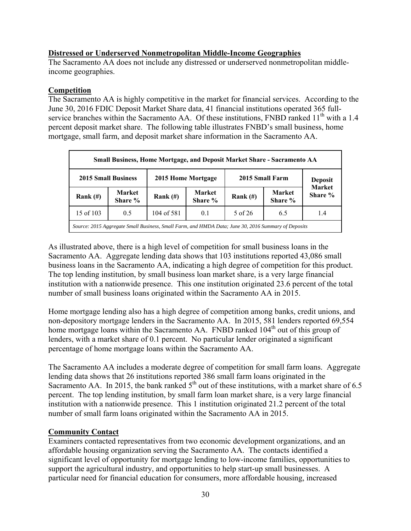## **Distressed or Underserved Nonmetropolitan Middle-Income Geographies**

The Sacramento AA does not include any distressed or underserved nonmetropolitan middleincome geographies.

### **Competition**

The Sacramento AA is highly competitive in the market for financial services. According to the June 30, 2016 FDIC Deposit Market Share data, 41 financial institutions operated 365 fullservice branches within the Sacramento AA. Of these institutions, FNBD ranked 11<sup>th</sup> with a 1.4 percent deposit market share. The following table illustrates FNBD's small business, home mortgage, small farm, and deposit market share information in the Sacramento AA.

| Small Business, Home Mortgage, and Deposit Market Share - Sacramento AA                             |                                                   |             |                          |            |                          |  |  |  |  |  |  |
|-----------------------------------------------------------------------------------------------------|---------------------------------------------------|-------------|--------------------------|------------|--------------------------|--|--|--|--|--|--|
| 2015 Home Mortgage<br><b>2015 Small Business</b><br>2015 Small Farm<br><b>Deposit</b>               |                                                   |             |                          |            |                          |  |  |  |  |  |  |
| Rank $(H)$                                                                                          | <b>Market</b><br>Share %                          | Rank $(\#)$ | <b>Market</b><br>Share % | Rank $(H)$ | <b>Market</b><br>Share % |  |  |  |  |  |  |
| 15 of 103                                                                                           | 5 of 26<br>104 of 581<br>0.5<br>0.1<br>6.5<br>1.4 |             |                          |            |                          |  |  |  |  |  |  |
| Source: 2015 Aggregate Small Business, Small Farm, and HMDA Data; June 30, 2016 Summary of Deposits |                                                   |             |                          |            |                          |  |  |  |  |  |  |

As illustrated above, there is a high level of competition for small business loans in the Sacramento AA. Aggregate lending data shows that 103 institutions reported 43,086 small business loans in the Sacramento AA, indicating a high degree of competition for this product. The top lending institution, by small business loan market share, is a very large financial institution with a nationwide presence. This one institution originated 23.6 percent of the total number of small business loans originated within the Sacramento AA in 2015.

Home mortgage lending also has a high degree of competition among banks, credit unions, and non-depository mortgage lenders in the Sacramento AA. In 2015, 581 lenders reported 69,554 home mortgage loans within the Sacramento AA. FNBD ranked 104<sup>th</sup> out of this group of lenders, with a market share of 0.1 percent. No particular lender originated a significant percentage of home mortgage loans within the Sacramento AA.

The Sacramento AA includes a moderate degree of competition for small farm loans. Aggregate lending data shows that 26 institutions reported 386 small farm loans originated in the Sacramento AA. In 2015, the bank ranked  $5<sup>th</sup>$  out of these institutions, with a market share of 6.5 percent. The top lending institution, by small farm loan market share, is a very large financial institution with a nationwide presence. This 1 institution originated 21.2 percent of the total number of small farm loans originated within the Sacramento AA in 2015.

## **Community Contact**

Examiners contacted representatives from two economic development organizations, and an affordable housing organization serving the Sacramento AA. The contacts identified a significant level of opportunity for mortgage lending to low-income families, opportunities to support the agricultural industry, and opportunities to help start-up small businesses. A particular need for financial education for consumers, more affordable housing, increased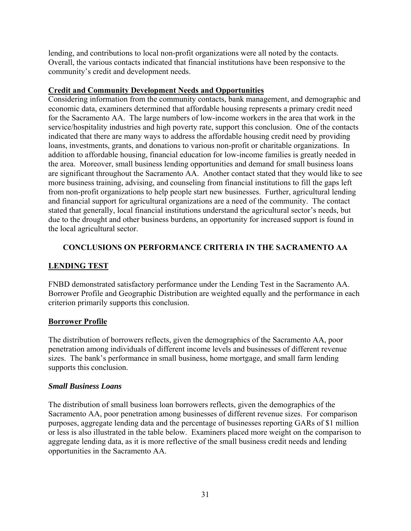lending, and contributions to local non-profit organizations were all noted by the contacts. Overall, the various contacts indicated that financial institutions have been responsive to the community's credit and development needs.

## **Credit and Community Development Needs and Opportunities**

Considering information from the community contacts, bank management, and demographic and economic data, examiners determined that affordable housing represents a primary credit need for the Sacramento AA. The large numbers of low-income workers in the area that work in the service/hospitality industries and high poverty rate, support this conclusion. One of the contacts indicated that there are many ways to address the affordable housing credit need by providing loans, investments, grants, and donations to various non-profit or charitable organizations. In addition to affordable housing, financial education for low-income families is greatly needed in the area. Moreover, small business lending opportunities and demand for small business loans are significant throughout the Sacramento AA. Another contact stated that they would like to see more business training, advising, and counseling from financial institutions to fill the gaps left from non-profit organizations to help people start new businesses. Further, agricultural lending and financial support for agricultural organizations are a need of the community. The contact stated that generally, local financial institutions understand the agricultural sector's needs, but due to the drought and other business burdens, an opportunity for increased support is found in the local agricultural sector.

## **CONCLUSIONS ON PERFORMANCE CRITERIA IN THE SACRAMENTO AA**

## **LENDING TEST**

FNBD demonstrated satisfactory performance under the Lending Test in the Sacramento AA. Borrower Profile and Geographic Distribution are weighted equally and the performance in each criterion primarily supports this conclusion.

## **Borrower Profile**

The distribution of borrowers reflects, given the demographics of the Sacramento AA, poor penetration among individuals of different income levels and businesses of different revenue sizes. The bank's performance in small business, home mortgage, and small farm lending supports this conclusion.

## *Small Business Loans*

The distribution of small business loan borrowers reflects, given the demographics of the Sacramento AA, poor penetration among businesses of different revenue sizes. For comparison purposes, aggregate lending data and the percentage of businesses reporting GARs of \$1 million or less is also illustrated in the table below. Examiners placed more weight on the comparison to aggregate lending data, as it is more reflective of the small business credit needs and lending opportunities in the Sacramento AA.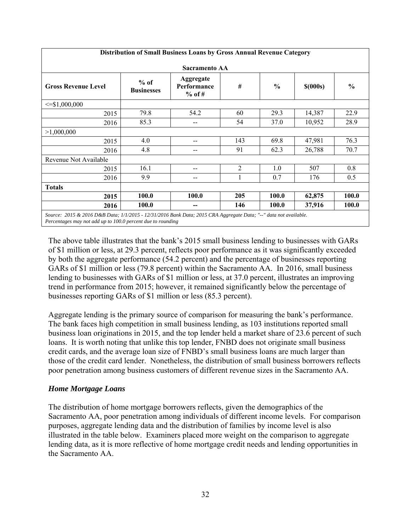| Distribution of Small Business Loans by Gross Annual Revenue Category                                            |                             |                                      |                |               |            |               |  |  |  |  |  |
|------------------------------------------------------------------------------------------------------------------|-----------------------------|--------------------------------------|----------------|---------------|------------|---------------|--|--|--|--|--|
| <b>Sacramento AA</b>                                                                                             |                             |                                      |                |               |            |               |  |  |  |  |  |
| <b>Gross Revenue Level</b>                                                                                       | $%$ of<br><b>Businesses</b> | Aggregate<br>Performance<br>$%$ of # | $\#$           | $\frac{0}{0}$ | $$$ (000s) | $\frac{0}{0}$ |  |  |  |  |  |
| $\leq$ \$1,000,000                                                                                               |                             |                                      |                |               |            |               |  |  |  |  |  |
| 2015                                                                                                             | 79.8                        | 54.2                                 | 60             | 29.3          | 14,387     | 22.9          |  |  |  |  |  |
| 2016                                                                                                             | 85.3                        | $-$                                  | 54             | 37.0          | 10,952     | 28.9          |  |  |  |  |  |
| >1,000,000                                                                                                       |                             |                                      |                |               |            |               |  |  |  |  |  |
| 2015                                                                                                             | 4.0                         | $-$                                  | 143            | 69.8          | 47,981     | 76.3          |  |  |  |  |  |
| 2016                                                                                                             | 4.8                         | --                                   | 91             | 62.3          | 26,788     | 70.7          |  |  |  |  |  |
| Revenue Not Available                                                                                            |                             |                                      |                |               |            |               |  |  |  |  |  |
| 2015                                                                                                             | 16.1                        | --                                   | $\overline{2}$ | 1.0           | 507        | 0.8           |  |  |  |  |  |
| 2016                                                                                                             | 9.9                         | --                                   |                | 0.7           | 176        | 0.5           |  |  |  |  |  |
| <b>Totals</b>                                                                                                    |                             |                                      |                |               |            |               |  |  |  |  |  |
| 2015                                                                                                             | 100.0                       | 100.0                                | 205            | 100.0         | 62,875     | 100.0         |  |  |  |  |  |
| 2016                                                                                                             | 100.0                       | --                                   | 146            | 100.0         | 37,916     | 100.0         |  |  |  |  |  |
| Source: 2015 & 2016 D&B Data; 1/1/2015 - 12/31/2016 Bank Data; 2015 CRA Aggregate Data; "--" data not available. |                             |                                      |                |               |            |               |  |  |  |  |  |

*Percentages may not add up to 100.0 percent due to rounding* 

The above table illustrates that the bank's 2015 small business lending to businesses with GARs of \$1 million or less, at 29.3 percent, reflects poor performance as it was significantly exceeded by both the aggregate performance (54.2 percent) and the percentage of businesses reporting GARs of \$1 million or less (79.8 percent) within the Sacramento AA. In 2016, small business lending to businesses with GARs of \$1 million or less, at 37.0 percent, illustrates an improving trend in performance from 2015; however, it remained significantly below the percentage of businesses reporting GARs of \$1 million or less (85.3 percent).

Aggregate lending is the primary source of comparison for measuring the bank's performance. The bank faces high competition in small business lending, as 103 institutions reported small business loan originations in 2015, and the top lender held a market share of 23.6 percent of such loans. It is worth noting that unlike this top lender, FNBD does not originate small business credit cards, and the average loan size of FNBD's small business loans are much larger than those of the credit card lender. Nonetheless, the distribution of small business borrowers reflects poor penetration among business customers of different revenue sizes in the Sacramento AA.

## *Home Mortgage Loans*

The distribution of home mortgage borrowers reflects, given the demographics of the Sacramento AA, poor penetration among individuals of different income levels. For comparison purposes, aggregate lending data and the distribution of families by income level is also illustrated in the table below. Examiners placed more weight on the comparison to aggregate lending data, as it is more reflective of home mortgage credit needs and lending opportunities in the Sacramento AA.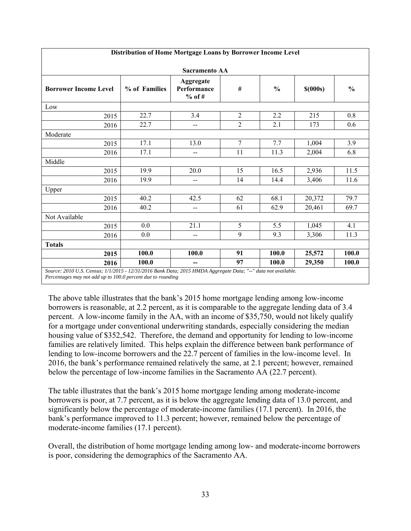| Distribution of Home Mortgage Loans by Borrower Income Level                                                  |               |                                      |                |               |              |               |  |  |  |
|---------------------------------------------------------------------------------------------------------------|---------------|--------------------------------------|----------------|---------------|--------------|---------------|--|--|--|
| Sacramento AA                                                                                                 |               |                                      |                |               |              |               |  |  |  |
| <b>Borrower Income Level</b>                                                                                  | % of Families | Aggregate<br>Performance<br>$%$ of # | #              | $\frac{0}{0}$ | $$$ $(000s)$ | $\frac{0}{0}$ |  |  |  |
| Low                                                                                                           |               |                                      |                |               |              |               |  |  |  |
| 2015                                                                                                          | 22.7          | 3.4                                  | $\overline{2}$ | 2.2           | 215          | 0.8           |  |  |  |
| 2016                                                                                                          | 22.7          | --                                   | $\overline{2}$ | 2.1           | 173          | 0.6           |  |  |  |
| Moderate                                                                                                      |               |                                      |                |               |              |               |  |  |  |
| 2015                                                                                                          | 17.1          | 13.0                                 | $\overline{7}$ | 7.7           | 1,004        | 3.9           |  |  |  |
| 2016                                                                                                          | 17.1          | $-$                                  | 11             | 11.3          | 2,004        | 6.8           |  |  |  |
| Middle                                                                                                        |               |                                      |                |               |              |               |  |  |  |
| 2015                                                                                                          | 19.9          | 20.0                                 | 15             | 16.5          | 2,936        | 11.5          |  |  |  |
| 2016                                                                                                          | 19.9          | --                                   | 14             | 14.4          | 3,406        | 11.6          |  |  |  |
| Upper                                                                                                         |               |                                      |                |               |              |               |  |  |  |
| 2015                                                                                                          | 40.2          | 42.5                                 | 62             | 68.1          | 20,372       | 79.7          |  |  |  |
| 2016                                                                                                          | 40.2          | $\overline{\phantom{a}}$             | 61             | 62.9          | 20,461       | 69.7          |  |  |  |
| Not Available                                                                                                 |               |                                      |                |               |              |               |  |  |  |
| 2015                                                                                                          | 0.0           | 21.1                                 | 5              | 5.5           | 1,045        | 4.1           |  |  |  |
| 2016                                                                                                          | 0.0           | --                                   | 9              | 9.3           | 3,306        | 11.3          |  |  |  |
| <b>Totals</b>                                                                                                 |               |                                      |                |               |              |               |  |  |  |
| 2015                                                                                                          | 100.0         | 100.0                                | 91             | 100.0         | 25,572       | 100.0         |  |  |  |
| 2016                                                                                                          | 100.0         | --                                   | 97             | 100.0         | 29,350       | 100.0         |  |  |  |
| Source: 2010 U.S. Census; 1/1/2015 - 12/31/2016 Bank Data; 2015 HMDA Aggregate Data; "--" data not available. |               |                                      |                |               |              |               |  |  |  |

#### **Distribution of Home Mortgage Loans by Borrower Income Level**

*Percentages may not add up to 100.0 percent due to rounding* 

The above table illustrates that the bank's 2015 home mortgage lending among low-income borrowers is reasonable, at 2.2 percent, as it is comparable to the aggregate lending data of 3.4 percent. A low-income family in the AA, with an income of \$35,750, would not likely qualify for a mortgage under conventional underwriting standards, especially considering the median housing value of \$352,542. Therefore, the demand and opportunity for lending to low-income families are relatively limited. This helps explain the difference between bank performance of lending to low-income borrowers and the 22.7 percent of families in the low-income level. In 2016, the bank's performance remained relatively the same, at 2.1 percent; however, remained below the percentage of low-income families in the Sacramento AA (22.7 percent).

The table illustrates that the bank's 2015 home mortgage lending among moderate-income borrowers is poor, at 7.7 percent, as it is below the aggregate lending data of 13.0 percent, and significantly below the percentage of moderate-income families (17.1 percent). In 2016, the bank's performance improved to 11.3 percent; however, remained below the percentage of moderate-income families (17.1 percent).

Overall, the distribution of home mortgage lending among low- and moderate-income borrowers is poor, considering the demographics of the Sacramento AA.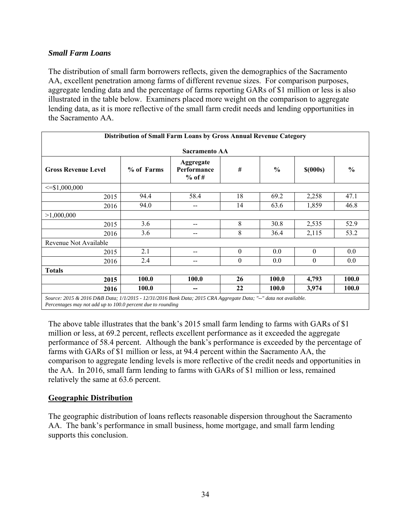## *Small Farm Loans*

The distribution of small farm borrowers reflects, given the demographics of the Sacramento AA, excellent penetration among farms of different revenue sizes. For comparison purposes, aggregate lending data and the percentage of farms reporting GARs of \$1 million or less is also illustrated in the table below. Examiners placed more weight on the comparison to aggregate lending data, as it is more reflective of the small farm credit needs and lending opportunities in the Sacramento AA.

|                            |            | Distribution of Small Farm Loans by Gross Annual Revenue Category |          |               |                  |               |  |  |  |
|----------------------------|------------|-------------------------------------------------------------------|----------|---------------|------------------|---------------|--|--|--|
| Sacramento AA              |            |                                                                   |          |               |                  |               |  |  |  |
| <b>Gross Revenue Level</b> | % of Farms | <b>Aggregate</b><br>Performance<br>$%$ of #                       | #        | $\frac{0}{0}$ | $$$ (000s)       | $\frac{0}{0}$ |  |  |  |
| $\leq$ \$1,000,000         |            |                                                                   |          |               |                  |               |  |  |  |
| 2015                       | 94.4       | 58.4                                                              | 18       | 69.2          | 2,258            | 47.1          |  |  |  |
| 2016                       | 94.0       | --                                                                | 14       | 63.6          | 1,859            | 46.8          |  |  |  |
| >1,000,000                 |            |                                                                   |          |               |                  |               |  |  |  |
| 2015                       | 3.6        | --                                                                | 8        | 30.8          | 2,535            | 52.9          |  |  |  |
| 2016                       | 3.6        | --                                                                | 8        | 36.4          | 2,115            | 53.2          |  |  |  |
| Revenue Not Available      |            |                                                                   |          |               |                  |               |  |  |  |
| 2015                       | 2.1        | --                                                                | $\theta$ | 0.0           | $\theta$         | 0.0           |  |  |  |
| 2016                       | 2.4        | --                                                                | $\theta$ | 0.0           | $\boldsymbol{0}$ | 0.0           |  |  |  |
| <b>Totals</b>              |            |                                                                   |          |               |                  |               |  |  |  |
| 2015                       | 100.0      | 100.0                                                             | 26       | 100.0         | 4,793            | 100.0         |  |  |  |
| 2016                       | 100.0      | --                                                                | 22       | 100.0         | 3,974            | 100.0         |  |  |  |
|                            |            |                                                                   |          |               |                  |               |  |  |  |

*Source: 2015 & 2016 D&B Data; 1/1/2015 - 12/31/2016 Bank Data; 2015 CRA Aggregate Data; "--" data not available. Percentages may not add up to 100.0 percent due to rounding* 

The above table illustrates that the bank's 2015 small farm lending to farms with GARs of \$1 million or less, at 69.2 percent, reflects excellent performance as it exceeded the aggregate performance of 58.4 percent. Although the bank's performance is exceeded by the percentage of farms with GARs of \$1 million or less, at 94.4 percent within the Sacramento AA, the comparison to aggregate lending levels is more reflective of the credit needs and opportunities in the AA. In 2016, small farm lending to farms with GARs of \$1 million or less, remained relatively the same at 63.6 percent.

## **Geographic Distribution**

The geographic distribution of loans reflects reasonable dispersion throughout the Sacramento AA. The bank's performance in small business, home mortgage, and small farm lending supports this conclusion.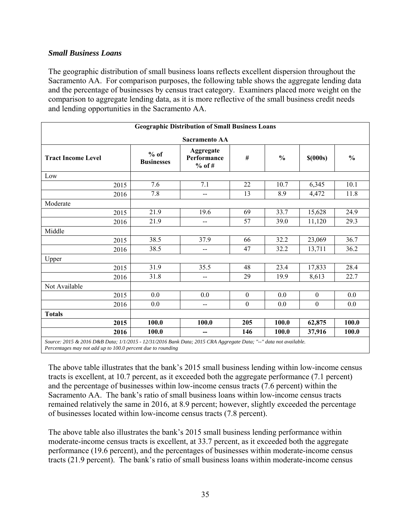## *Small Business Loans*

The geographic distribution of small business loans reflects excellent dispersion throughout the Sacramento AA. For comparison purposes, the following table shows the aggregate lending data and the percentage of businesses by census tract category. Examiners placed more weight on the comparison to aggregate lending data, as it is more reflective of the small business credit needs and lending opportunities in the Sacramento AA.

|                                                                                                                 | <b>Geographic Distribution of Small Business Loans</b> |                                      |                  |               |                  |               |  |  |  |  |
|-----------------------------------------------------------------------------------------------------------------|--------------------------------------------------------|--------------------------------------|------------------|---------------|------------------|---------------|--|--|--|--|
|                                                                                                                 | <b>Sacramento AA</b>                                   |                                      |                  |               |                  |               |  |  |  |  |
| <b>Tract Income Level</b>                                                                                       | $%$ of<br><b>Businesses</b>                            | Aggregate<br>Performance<br>$%$ of # | #                | $\frac{0}{0}$ | $$$ (000s)       | $\frac{0}{0}$ |  |  |  |  |
| Low                                                                                                             |                                                        |                                      |                  |               |                  |               |  |  |  |  |
| 2015                                                                                                            | 7.6                                                    | 7.1                                  | 22               | 10.7          | 6,345            | 10.1          |  |  |  |  |
| 2016                                                                                                            | 7.8                                                    | --                                   | 13               | 8.9           | 4,472            | 11.8          |  |  |  |  |
| Moderate                                                                                                        |                                                        |                                      |                  |               |                  |               |  |  |  |  |
| 2015                                                                                                            | 21.9                                                   | 19.6                                 | 69               | 33.7          | 15,628           | 24.9          |  |  |  |  |
| 2016                                                                                                            | 21.9                                                   | --                                   | 57               | 39.0          | 11,120           | 29.3          |  |  |  |  |
| Middle                                                                                                          |                                                        |                                      |                  |               |                  |               |  |  |  |  |
| 2015                                                                                                            | 38.5                                                   | 37.9                                 | 66               | 32.2          | 23,069           | 36.7          |  |  |  |  |
| 2016                                                                                                            | 38.5                                                   | --                                   | 47               | 32.2          | 13,711           | 36.2          |  |  |  |  |
| Upper                                                                                                           |                                                        |                                      |                  |               |                  |               |  |  |  |  |
| 2015                                                                                                            | 31.9                                                   | 35.5                                 | 48               | 23.4          | 17,833           | 28.4          |  |  |  |  |
| 2016                                                                                                            | 31.8                                                   | --                                   | 29               | 19.9          | 8,613            | 22.7          |  |  |  |  |
| Not Available                                                                                                   |                                                        |                                      |                  |               |                  |               |  |  |  |  |
| 2015                                                                                                            | 0.0                                                    | 0.0                                  | $\boldsymbol{0}$ | 0.0           | $\boldsymbol{0}$ | 0.0           |  |  |  |  |
| 2016                                                                                                            | 0.0                                                    | $-$                                  | $\boldsymbol{0}$ | 0.0           | $\mathbf{0}$     | 0.0           |  |  |  |  |
| <b>Totals</b>                                                                                                   |                                                        |                                      |                  |               |                  |               |  |  |  |  |
| 2015                                                                                                            | 100.0                                                  | 100.0                                | 205              | 100.0         | 62,875           | 100.0         |  |  |  |  |
| 2016                                                                                                            | 100.0                                                  | --                                   | 146              | 100.0         | 37,916           | 100.0         |  |  |  |  |
| Source: 2015 & 2016 D&R Data: 1/1/2015 - 12/31/2016 Bank Data: 2015 CRA Agaregate Data: "--" data not available |                                                        |                                      |                  |               |                  |               |  |  |  |  |

*Source: 2015 & 2016 D&B Data; 1/1/2015 - 12/31/2016 Bank Data; 2015 CRA Aggregate Data; "--" data not available. Percentages may not add up to 100.0 percent due to rounding* 

The above table illustrates that the bank's 2015 small business lending within low-income census tracts is excellent, at 10.7 percent, as it exceeded both the aggregate performance (7.1 percent) and the percentage of businesses within low-income census tracts (7.6 percent) within the Sacramento AA. The bank's ratio of small business loans within low-income census tracts remained relatively the same in 2016, at 8.9 percent; however, slightly exceeded the percentage of businesses located within low-income census tracts (7.8 percent).

The above table also illustrates the bank's 2015 small business lending performance within moderate-income census tracts is excellent, at 33.7 percent, as it exceeded both the aggregate performance (19.6 percent), and the percentages of businesses within moderate-income census tracts (21.9 percent). The bank's ratio of small business loans within moderate-income census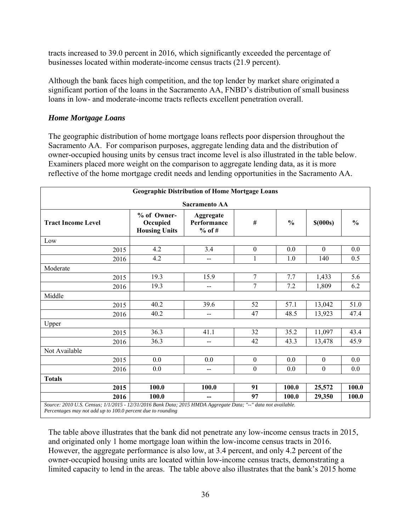tracts increased to 39.0 percent in 2016, which significantly exceeded the percentage of businesses located within moderate-income census tracts (21.9 percent).

Although the bank faces high competition, and the top lender by market share originated a significant portion of the loans in the Sacramento AA, FNBD's distribution of small business loans in low- and moderate-income tracts reflects excellent penetration overall.

## *Home Mortgage Loans*

The geographic distribution of home mortgage loans reflects poor dispersion throughout the Sacramento AA. For comparison purposes, aggregate lending data and the distribution of owner-occupied housing units by census tract income level is also illustrated in the table below. Examiners placed more weight on the comparison to aggregate lending data, as it is more reflective of the home mortgage credit needs and lending opportunities in the Sacramento AA.

|                                                                                                                                                                              |                                                 | <b>Geographic Distribution of Home Mortgage Loans</b> |                  |               |                  |               |
|------------------------------------------------------------------------------------------------------------------------------------------------------------------------------|-------------------------------------------------|-------------------------------------------------------|------------------|---------------|------------------|---------------|
|                                                                                                                                                                              |                                                 | <b>Sacramento AA</b>                                  |                  |               |                  |               |
| <b>Tract Income Level</b>                                                                                                                                                    | % of Owner-<br>Occupied<br><b>Housing Units</b> | Aggregate<br>Performance<br>$%$ of #                  | #                | $\frac{6}{6}$ | $$$ (000s)       | $\frac{0}{0}$ |
| Low                                                                                                                                                                          |                                                 |                                                       |                  |               |                  |               |
| 2015                                                                                                                                                                         | 4.2                                             | 3.4                                                   | $\boldsymbol{0}$ | 0.0           | $\Omega$         | 0.0           |
| 2016                                                                                                                                                                         | 4.2                                             | $-$                                                   | $\mathbf{1}$     | 1.0           | 140              | 0.5           |
| Moderate                                                                                                                                                                     |                                                 |                                                       |                  |               |                  |               |
| 2015                                                                                                                                                                         | 19.3                                            | 15.9                                                  | $\overline{7}$   | 7.7           | 1,433            | 5.6           |
| 2016                                                                                                                                                                         | 19.3                                            | $- -$                                                 | 7                | 7.2           | 1,809            | 6.2           |
| Middle                                                                                                                                                                       |                                                 |                                                       |                  |               |                  |               |
| 2015                                                                                                                                                                         | 40.2                                            | 39.6                                                  | 52               | 57.1          | 13,042           | 51.0          |
| 2016                                                                                                                                                                         | 40.2                                            | --                                                    | 47               | 48.5          | 13,923           | 47.4          |
| Upper                                                                                                                                                                        |                                                 |                                                       |                  |               |                  |               |
| 2015                                                                                                                                                                         | 36.3                                            | 41.1                                                  | 32               | 35.2          | 11,097           | 43.4          |
| 2016                                                                                                                                                                         | 36.3                                            | --                                                    | 42               | 43.3          | 13,478           | 45.9          |
| Not Available                                                                                                                                                                |                                                 |                                                       |                  |               |                  |               |
| 2015                                                                                                                                                                         | 0.0                                             | 0.0                                                   | $\boldsymbol{0}$ | 0.0           | $\boldsymbol{0}$ | 0.0           |
| 2016                                                                                                                                                                         | 0.0                                             | $\qquad \qquad \qquad \qquad$                         | $\mathbf{0}$     | 0.0           | $\boldsymbol{0}$ | 0.0           |
| <b>Totals</b>                                                                                                                                                                |                                                 |                                                       |                  |               |                  |               |
| 2015                                                                                                                                                                         | 100.0                                           | 100.0                                                 | 91               | 100.0         | 25,572           | 100.0         |
| 2016                                                                                                                                                                         | 100.0                                           |                                                       | 97               | 100.0         | 29,350           | 100.0         |
| Source: 2010 U.S. Census; 1/1/2015 - 12/31/2016 Bank Data; 2015 HMDA Aggregate Data; "--" data not available.<br>Percentages may not add up to 100.0 percent due to rounding |                                                 |                                                       |                  |               |                  |               |

The table above illustrates that the bank did not penetrate any low-income census tracts in 2015, and originated only 1 home mortgage loan within the low-income census tracts in 2016. However, the aggregate performance is also low, at 3.4 percent, and only 4.2 percent of the owner-occupied housing units are located within low-income census tracts, demonstrating a limited capacity to lend in the areas. The table above also illustrates that the bank's 2015 home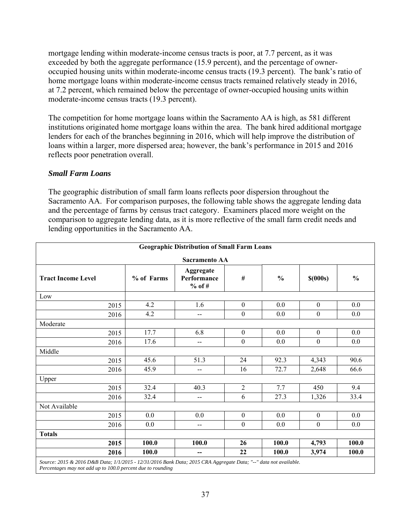mortgage lending within moderate-income census tracts is poor, at 7.7 percent, as it was exceeded by both the aggregate performance (15.9 percent), and the percentage of owneroccupied housing units within moderate-income census tracts (19.3 percent). The bank's ratio of home mortgage loans within moderate-income census tracts remained relatively steady in 2016, at 7.2 percent, which remained below the percentage of owner-occupied housing units within moderate-income census tracts (19.3 percent).

The competition for home mortgage loans within the Sacramento AA is high, as 581 different institutions originated home mortgage loans within the area. The bank hired additional mortgage lenders for each of the branches beginning in 2016, which will help improve the distribution of loans within a larger, more dispersed area; however, the bank's performance in 2015 and 2016 reflects poor penetration overall.

## *Small Farm Loans*

The geographic distribution of small farm loans reflects poor dispersion throughout the Sacramento AA. For comparison purposes, the following table shows the aggregate lending data and the percentage of farms by census tract category. Examiners placed more weight on the comparison to aggregate lending data, as it is more reflective of the small farm credit needs and lending opportunities in the Sacramento AA.

| <b>Geographic Distribution of Small Farm Loans</b> |      |            |                                      |                  |               |                  |               |  |  |
|----------------------------------------------------|------|------------|--------------------------------------|------------------|---------------|------------------|---------------|--|--|
| <b>Sacramento AA</b>                               |      |            |                                      |                  |               |                  |               |  |  |
| <b>Tract Income Level</b>                          |      | % of Farms | Aggregate<br>Performance<br>$%$ of # | #                | $\frac{0}{0}$ | $$$ (000s)       | $\frac{0}{0}$ |  |  |
| Low                                                |      |            |                                      |                  |               |                  |               |  |  |
|                                                    | 2015 | 4.2        | 1.6                                  | $\mathbf{0}$     | 0.0           | $\boldsymbol{0}$ | 0.0           |  |  |
|                                                    | 2016 | 4.2        | $-$                                  | $\boldsymbol{0}$ | 0.0           | $\boldsymbol{0}$ | 0.0           |  |  |
| Moderate                                           |      |            |                                      |                  |               |                  |               |  |  |
|                                                    | 2015 | 17.7       | 6.8                                  | $\mathbf{0}$     | 0.0           | $\boldsymbol{0}$ | 0.0           |  |  |
|                                                    | 2016 | 17.6       | --                                   | $\boldsymbol{0}$ | 0.0           | $\boldsymbol{0}$ | 0.0           |  |  |
| Middle                                             |      |            |                                      |                  |               |                  |               |  |  |
|                                                    | 2015 | 45.6       | 51.3                                 | 24               | 92.3          | 4,343            | 90.6          |  |  |
|                                                    | 2016 | 45.9       | --                                   | 16               | 72.7          | 2,648            | 66.6          |  |  |
| Upper                                              |      |            |                                      |                  |               |                  |               |  |  |
|                                                    | 2015 | 32.4       | 40.3                                 | $\overline{2}$   | 7.7           | 450              | 9.4           |  |  |
|                                                    | 2016 | 32.4       | --                                   | 6                | 27.3          | 1,326            | 33.4          |  |  |
| Not Available                                      |      |            |                                      |                  |               |                  |               |  |  |
|                                                    | 2015 | 0.0        | 0.0                                  | $\mathbf{0}$     | 0.0           | $\mathbf{0}$     | 0.0           |  |  |
|                                                    | 2016 | 0.0        | $\overline{\phantom{a}}$             | $\boldsymbol{0}$ | 0.0           | $\boldsymbol{0}$ | 0.0           |  |  |
| <b>Totals</b>                                      |      |            |                                      |                  |               |                  |               |  |  |
|                                                    | 2015 | 100.0      | 100.0                                | 26               | 100.0         | 4,793            | 100.0         |  |  |
|                                                    | 2016 | 100.0      | --                                   | 22               | 100.0         | 3,974            | 100.0         |  |  |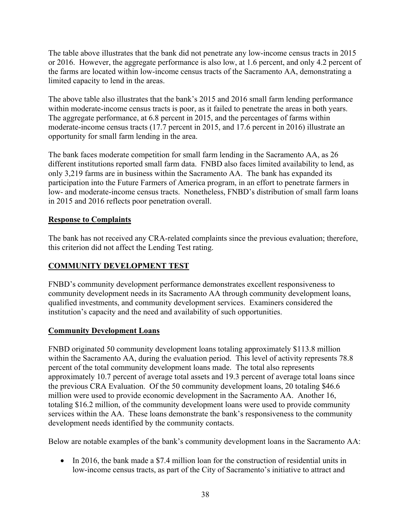The table above illustrates that the bank did not penetrate any low-income census tracts in 2015 or 2016. However, the aggregate performance is also low, at 1.6 percent, and only 4.2 percent of the farms are located within low-income census tracts of the Sacramento AA, demonstrating a limited capacity to lend in the areas.

The above table also illustrates that the bank's 2015 and 2016 small farm lending performance within moderate-income census tracts is poor, as it failed to penetrate the areas in both years. The aggregate performance, at 6.8 percent in 2015, and the percentages of farms within moderate-income census tracts (17.7 percent in 2015, and 17.6 percent in 2016) illustrate an opportunity for small farm lending in the area.

The bank faces moderate competition for small farm lending in the Sacramento AA, as 26 different institutions reported small farm data. FNBD also faces limited availability to lend, as only 3,219 farms are in business within the Sacramento AA. The bank has expanded its participation into the Future Farmers of America program, in an effort to penetrate farmers in low- and moderate-income census tracts. Nonetheless, FNBD's distribution of small farm loans in 2015 and 2016 reflects poor penetration overall.

## **Response to Complaints**

The bank has not received any CRA-related complaints since the previous evaluation; therefore, this criterion did not affect the Lending Test rating.

## **COMMUNITY DEVELOPMENT TEST**

FNBD's community development performance demonstrates excellent responsiveness to community development needs in its Sacramento AA through community development loans, qualified investments, and community development services. Examiners considered the institution's capacity and the need and availability of such opportunities.

## **Community Development Loans**

FNBD originated 50 community development loans totaling approximately \$113.8 million within the Sacramento AA, during the evaluation period. This level of activity represents 78.8 percent of the total community development loans made. The total also represents approximately 10.7 percent of average total assets and 19.3 percent of average total loans since the previous CRA Evaluation. Of the 50 community development loans, 20 totaling \$46.6 million were used to provide economic development in the Sacramento AA. Another 16, totaling \$16.2 million, of the community development loans were used to provide community services within the AA. These loans demonstrate the bank's responsiveness to the community development needs identified by the community contacts.

Below are notable examples of the bank's community development loans in the Sacramento AA:

• In 2016, the bank made a \$7.4 million loan for the construction of residential units in low-income census tracts, as part of the City of Sacramento's initiative to attract and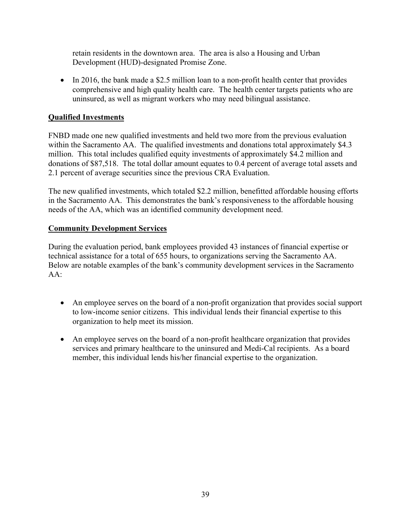retain residents in the downtown area. The area is also a Housing and Urban Development (HUD)-designated Promise Zone.

• In 2016, the bank made a \$2.5 million loan to a non-profit health center that provides comprehensive and high quality health care. The health center targets patients who are uninsured, as well as migrant workers who may need bilingual assistance.

## **Qualified Investments**

FNBD made one new qualified investments and held two more from the previous evaluation within the Sacramento AA. The qualified investments and donations total approximately \$4.3 million. This total includes qualified equity investments of approximately \$4.2 million and donations of \$87,518. The total dollar amount equates to 0.4 percent of average total assets and 2.1 percent of average securities since the previous CRA Evaluation.

The new qualified investments, which totaled \$2.2 million, benefitted affordable housing efforts in the Sacramento AA. This demonstrates the bank's responsiveness to the affordable housing needs of the AA, which was an identified community development need.

## **Community Development Services**

During the evaluation period, bank employees provided 43 instances of financial expertise or technical assistance for a total of 655 hours, to organizations serving the Sacramento AA. Below are notable examples of the bank's community development services in the Sacramento  $AA^+$ 

- An employee serves on the board of a non-profit organization that provides social support to low-income senior citizens. This individual lends their financial expertise to this organization to help meet its mission.
- An employee serves on the board of a non-profit healthcare organization that provides services and primary healthcare to the uninsured and Medi-Cal recipients. As a board member, this individual lends his/her financial expertise to the organization.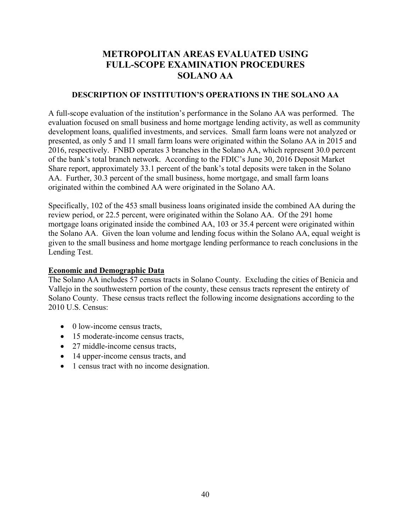## **METROPOLITAN AREAS EVALUATED USING FULL-SCOPE EXAMINATION PROCEDURES SOLANO AA**

#### **DESCRIPTION OF INSTITUTION'S OPERATIONS IN THE SOLANO AA**

A full-scope evaluation of the institution's performance in the Solano AA was performed. The evaluation focused on small business and home mortgage lending activity, as well as community development loans, qualified investments, and services. Small farm loans were not analyzed or presented, as only 5 and 11 small farm loans were originated within the Solano AA in 2015 and 2016, respectively. FNBD operates 3 branches in the Solano AA, which represent 30.0 percent of the bank's total branch network. According to the FDIC's June 30, 2016 Deposit Market Share report, approximately 33.1 percent of the bank's total deposits were taken in the Solano AA. Further, 30.3 percent of the small business, home mortgage, and small farm loans originated within the combined AA were originated in the Solano AA.

Specifically, 102 of the 453 small business loans originated inside the combined AA during the review period, or 22.5 percent, were originated within the Solano AA. Of the 291 home mortgage loans originated inside the combined AA, 103 or 35.4 percent were originated within the Solano AA. Given the loan volume and lending focus within the Solano AA, equal weight is given to the small business and home mortgage lending performance to reach conclusions in the Lending Test.

#### **Economic and Demographic Data**

The Solano AA includes 57 census tracts in Solano County. Excluding the cities of Benicia and Vallejo in the southwestern portion of the county, these census tracts represent the entirety of Solano County. These census tracts reflect the following income designations according to the 2010 U.S. Census:

- 0 low-income census tracts,
- 15 moderate-income census tracts,
- 27 middle-income census tracts,
- 14 upper-income census tracts, and
- 1 census tract with no income designation.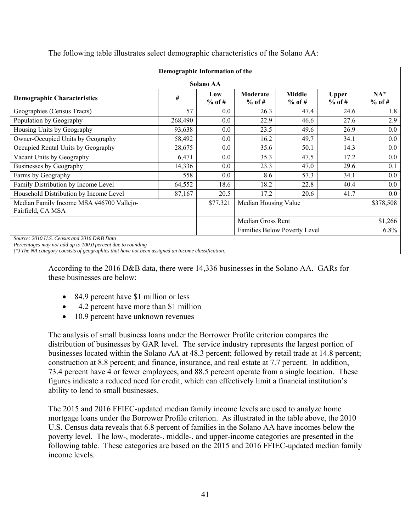|                                                                                                           | Demographic Information of the |                  |                      |                              |                          |                    |
|-----------------------------------------------------------------------------------------------------------|--------------------------------|------------------|----------------------|------------------------------|--------------------------|--------------------|
|                                                                                                           |                                | <b>Solano AA</b> |                      |                              |                          |                    |
| <b>Demographic Characteristics</b>                                                                        | #                              | Low<br>$%$ of #  | Moderate<br>$%$ of # | <b>Middle</b><br>$%$ of #    | <b>Upper</b><br>$%$ of # | $NA^*$<br>$%$ of # |
| Geographies (Census Tracts)                                                                               | 57                             | 0.0              | 26.3                 | 47.4                         | 24.6                     | 1.8                |
| Population by Geography                                                                                   | 268,490                        | 0.0              | 22.9                 | 46.6                         | 27.6                     | 2.9                |
| Housing Units by Geography                                                                                | 93,638                         | 0.0              | 23.5                 | 49.6                         | 26.9                     | $0.0\,$            |
| Owner-Occupied Units by Geography                                                                         | 58,492                         | 0.0              | 16.2                 | 49.7                         | 34.1                     | $0.0\,$            |
| Occupied Rental Units by Geography                                                                        | 28,675                         | 0.0              | 35.6                 | 50.1                         | 14.3                     | $0.0\,$            |
| Vacant Units by Geography                                                                                 | 6,471                          | 0.0              | 35.3                 | 47.5                         | 17.2                     | $0.0\,$            |
| Businesses by Geography                                                                                   | 14,336                         | 0.0              | 23.3                 | 47.0                         | 29.6                     | 0.1                |
| Farms by Geography                                                                                        | 558                            | 0.0              | 8.6                  | 57.3                         | 34.1                     | $0.0\,$            |
| Family Distribution by Income Level                                                                       | 64,552                         | 18.6             | 18.2                 | 22.8                         | 40.4                     | $0.0\,$            |
| Household Distribution by Income Level                                                                    | 87,167                         | 20.5             | 17.2                 | 20.6                         | 41.7                     | $0.0\,$            |
| Median Family Income MSA #46700 Vallejo-<br>Fairfield, CA MSA                                             |                                | \$77,321         | Median Housing Value |                              |                          | \$378,508          |
|                                                                                                           |                                |                  | Median Gross Rent    |                              |                          | \$1,266            |
|                                                                                                           |                                |                  |                      | Families Below Poverty Level |                          | $6.8\%$            |
| Source: 2010 U.S. Census and 2016 D&B Data<br>Perceptages may not add up to 100.0 percent due to rounding |                                |                  |                      |                              |                          |                    |

The following table illustrates select demographic characteristics of the Solano AA:

*Percentages may not add up to 100.0 percent due to rounding* 

*(\*) The NA category consists of geographies that have not been assigned an income classification.* 

According to the 2016 D&B data, there were 14,336 businesses in the Solano AA. GARs for these businesses are below:

- 84.9 percent have \$1 million or less
- 4.2 percent have more than \$1 million
- 10.9 percent have unknown revenues

The analysis of small business loans under the Borrower Profile criterion compares the distribution of businesses by GAR level. The service industry represents the largest portion of businesses located within the Solano AA at 48.3 percent; followed by retail trade at 14.8 percent; construction at 8.8 percent; and finance, insurance, and real estate at 7.7 percent. In addition, 73.4 percent have 4 or fewer employees, and 88.5 percent operate from a single location. These figures indicate a reduced need for credit, which can effectively limit a financial institution's ability to lend to small businesses.

The 2015 and 2016 FFIEC-updated median family income levels are used to analyze home mortgage loans under the Borrower Profile criterion. As illustrated in the table above, the 2010 U.S. Census data reveals that 6.8 percent of families in the Solano AA have incomes below the poverty level. The low-, moderate-, middle-, and upper-income categories are presented in the following table. These categories are based on the 2015 and 2016 FFIEC-updated median family income levels.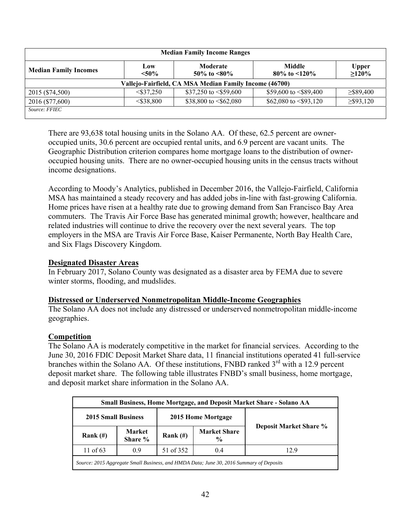| <b>Median Family Income Ranges</b> |                 |                                                        |                                       |                          |  |  |  |  |
|------------------------------------|-----------------|--------------------------------------------------------|---------------------------------------|--------------------------|--|--|--|--|
| <b>Median Family Incomes</b>       | Low<br>$< 50\%$ | Moderate<br>50\% to $\leq 80\%$                        | <b>Middle</b><br>80\% to $\leq 120\%$ | <b>Upper</b><br>$>120\%$ |  |  |  |  |
|                                    |                 | Vallejo-Fairfield, CA MSA Median Family Income (46700) |                                       |                          |  |  |  |  |
| 2015 (\$74,500)                    | $<$ \$37.250    | \$37,250 to $\le$ \$59,600                             | \$59,600 to $\leq$ \$89,400           | $\geq$ \$89,400          |  |  |  |  |
| 2016 (\$77,600)                    | $<$ \$38,800    | \$38,800 to $\leq$ \$62,080                            | \$62,080 to $\leq$ \$93,120           | $\geq$ \$93,120          |  |  |  |  |
| Source: FFIEC                      |                 |                                                        |                                       |                          |  |  |  |  |

There are 93,638 total housing units in the Solano AA. Of these, 62.5 percent are owneroccupied units, 30.6 percent are occupied rental units, and 6.9 percent are vacant units. The Geographic Distribution criterion compares home mortgage loans to the distribution of owneroccupied housing units. There are no owner-occupied housing units in the census tracts without income designations.

According to Moody's Analytics, published in December 2016, the Vallejo-Fairfield, California MSA has maintained a steady recovery and has added jobs in-line with fast-growing California. Home prices have risen at a healthy rate due to growing demand from San Francisco Bay Area commuters. The Travis Air Force Base has generated minimal growth; however, healthcare and related industries will continue to drive the recovery over the next several years. The top employers in the MSA are Travis Air Force Base, Kaiser Permanente, North Bay Health Care, and Six Flags Discovery Kingdom.

## **Designated Disaster Areas**

In February 2017, Solano County was designated as a disaster area by FEMA due to severe winter storms, flooding, and mudslides.

## **Distressed or Underserved Nonmetropolitan Middle-Income Geographies**

The Solano AA does not include any distressed or underserved nonmetropolitan middle-income geographies.

## **Competition**

The Solano AA is moderately competitive in the market for financial services. According to the June 30, 2016 FDIC Deposit Market Share data, 11 financial institutions operated 41 full-service branches within the Solano AA. Of these institutions, FNBD ranked  $3<sup>rd</sup>$  with a 12.9 percent deposit market share. The following table illustrates FNBD's small business, home mortgage, and deposit market share information in the Solano AA.

| <b>Small Business, Home Mortgage, and Deposit Market Share - Solano AA</b>              |                   |                    |                                      |                               |  |  |  |  |
|-----------------------------------------------------------------------------------------|-------------------|--------------------|--------------------------------------|-------------------------------|--|--|--|--|
| <b>2015 Small Business</b>                                                              |                   | 2015 Home Mortgage |                                      |                               |  |  |  |  |
| Rank $(H)$                                                                              | Market<br>Share % | Rank $(H)$         | <b>Market Share</b><br>$\frac{0}{0}$ | <b>Deposit Market Share %</b> |  |  |  |  |
| 11 of $63$                                                                              | 09                | 51 of 352          | 04                                   | 129                           |  |  |  |  |
| Source: 2015 Aggregate Small Business, and HMDA Data; June 30, 2016 Summary of Deposits |                   |                    |                                      |                               |  |  |  |  |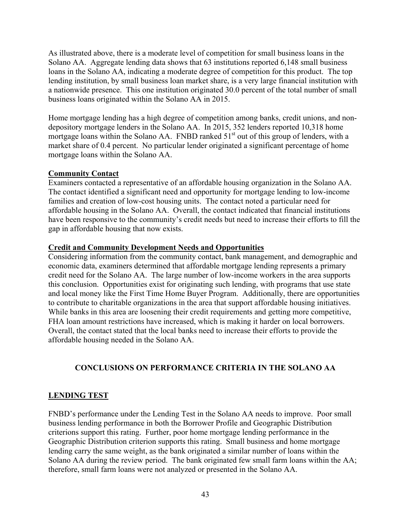As illustrated above, there is a moderate level of competition for small business loans in the Solano AA. Aggregate lending data shows that 63 institutions reported 6,148 small business loans in the Solano AA, indicating a moderate degree of competition for this product. The top lending institution, by small business loan market share, is a very large financial institution with a nationwide presence. This one institution originated 30.0 percent of the total number of small business loans originated within the Solano AA in 2015.

Home mortgage lending has a high degree of competition among banks, credit unions, and nondepository mortgage lenders in the Solano AA. In 2015, 352 lenders reported 10,318 home mortgage loans within the Solano AA. FNBD ranked  $51<sup>st</sup>$  out of this group of lenders, with a market share of 0.4 percent. No particular lender originated a significant percentage of home mortgage loans within the Solano AA.

### **Community Contact**

Examiners contacted a representative of an affordable housing organization in the Solano AA. The contact identified a significant need and opportunity for mortgage lending to low-income families and creation of low-cost housing units. The contact noted a particular need for affordable housing in the Solano AA. Overall, the contact indicated that financial institutions have been responsive to the community's credit needs but need to increase their efforts to fill the gap in affordable housing that now exists.

#### **Credit and Community Development Needs and Opportunities**

Considering information from the community contact, bank management, and demographic and economic data, examiners determined that affordable mortgage lending represents a primary credit need for the Solano AA. The large number of low-income workers in the area supports this conclusion. Opportunities exist for originating such lending, with programs that use state and local money like the First Time Home Buyer Program. Additionally, there are opportunities to contribute to charitable organizations in the area that support affordable housing initiatives. While banks in this area are loosening their credit requirements and getting more competitive, FHA loan amount restrictions have increased, which is making it harder on local borrowers. Overall, the contact stated that the local banks need to increase their efforts to provide the affordable housing needed in the Solano AA.

## **CONCLUSIONS ON PERFORMANCE CRITERIA IN THE SOLANO AA**

## **LENDING TEST**

FNBD's performance under the Lending Test in the Solano AA needs to improve. Poor small business lending performance in both the Borrower Profile and Geographic Distribution criterions support this rating. Further, poor home mortgage lending performance in the Geographic Distribution criterion supports this rating. Small business and home mortgage lending carry the same weight, as the bank originated a similar number of loans within the Solano AA during the review period. The bank originated few small farm loans within the AA; therefore, small farm loans were not analyzed or presented in the Solano AA.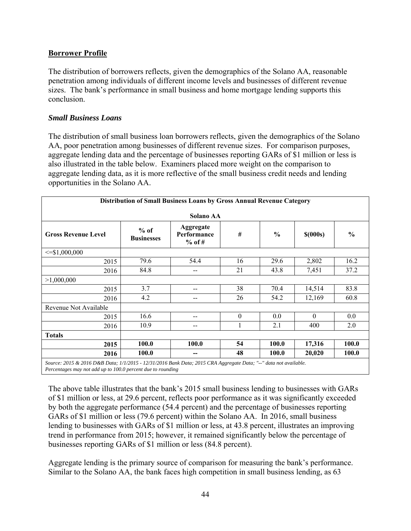## **Borrower Profile**

The distribution of borrowers reflects, given the demographics of the Solano AA, reasonable penetration among individuals of different income levels and businesses of different revenue sizes. The bank's performance in small business and home mortgage lending supports this conclusion.

#### *Small Business Loans*

The distribution of small business loan borrowers reflects, given the demographics of the Solano AA, poor penetration among businesses of different revenue sizes. For comparison purposes, aggregate lending data and the percentage of businesses reporting GARs of \$1 million or less is also illustrated in the table below. Examiners placed more weight on the comparison to aggregate lending data, as it is more reflective of the small business credit needs and lending opportunities in the Solano AA.

| Distribution of Small Business Loans by Gross Annual Revenue Category |                             |                                      |          |               |            |               |  |  |
|-----------------------------------------------------------------------|-----------------------------|--------------------------------------|----------|---------------|------------|---------------|--|--|
| <b>Solano AA</b>                                                      |                             |                                      |          |               |            |               |  |  |
| <b>Gross Revenue Level</b>                                            | $%$ of<br><b>Businesses</b> | Aggregate<br>Performance<br>$%$ of # | #        | $\frac{0}{0}$ | $$$ (000s) | $\frac{0}{0}$ |  |  |
| $\leq$ \$1,000,000                                                    |                             |                                      |          |               |            |               |  |  |
| 2015                                                                  | 79.6                        | 54.4                                 | 16       | 29.6          | 2,802      | 16.2          |  |  |
| 2016                                                                  | 84.8                        | $- -$                                | 21       | 43.8          | 7,451      | 37.2          |  |  |
| >1,000,000                                                            |                             |                                      |          |               |            |               |  |  |
| 2015                                                                  | 3.7                         | $- -$                                | 38       | 70.4          | 14,514     | 83.8          |  |  |
| 2016                                                                  | 4.2                         | $- -$                                | 26       | 54.2          | 12,169     | 60.8          |  |  |
| Revenue Not Available                                                 |                             |                                      |          |               |            |               |  |  |
| 2015                                                                  | 16.6                        | --                                   | $\theta$ | 0.0           | $\theta$   | 0.0           |  |  |
| 2016                                                                  | 10.9                        | --                                   |          | 2.1           | 400        | 2.0           |  |  |
| <b>Totals</b>                                                         |                             |                                      |          |               |            |               |  |  |
| 2015                                                                  | 100.0                       | 100.0                                | 54       | 100.0         | 17,316     | 100.0         |  |  |
| 2016                                                                  | 100.0                       | --                                   | 48       | 100.0         | 20,020     | <b>100.0</b>  |  |  |

*Source: 2015 & 2016 D&B Data; 1/1/2015 - 12/31/2016 Bank Data; 2015 CRA Aggregate Data; "--" data not available. Percentages may not add up to 100.0 percent due to rounding* 

The above table illustrates that the bank's 2015 small business lending to businesses with GARs of \$1 million or less, at 29.6 percent, reflects poor performance as it was significantly exceeded by both the aggregate performance (54.4 percent) and the percentage of businesses reporting GARs of \$1 million or less (79.6 percent) within the Solano AA. In 2016, small business lending to businesses with GARs of \$1 million or less, at 43.8 percent, illustrates an improving trend in performance from 2015; however, it remained significantly below the percentage of businesses reporting GARs of \$1 million or less (84.8 percent).

Aggregate lending is the primary source of comparison for measuring the bank's performance. Similar to the Solano AA, the bank faces high competition in small business lending, as 63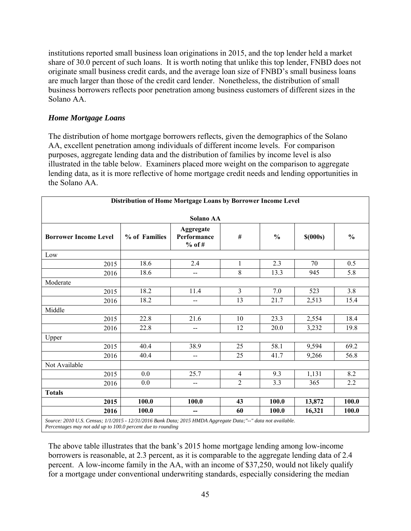institutions reported small business loan originations in 2015, and the top lender held a market share of 30.0 percent of such loans. It is worth noting that unlike this top lender, FNBD does not originate small business credit cards, and the average loan size of FNBD's small business loans are much larger than those of the credit card lender. Nonetheless, the distribution of small business borrowers reflects poor penetration among business customers of different sizes in the Solano AA.

## *Home Mortgage Loans*

The distribution of home mortgage borrowers reflects, given the demographics of the Solano AA, excellent penetration among individuals of different income levels. For comparison purposes, aggregate lending data and the distribution of families by income level is also illustrated in the table below. Examiners placed more weight on the comparison to aggregate lending data, as it is more reflective of home mortgage credit needs and lending opportunities in the Solano AA.

| Solano AA                    |               |                                      |                |               |            |               |  |  |  |
|------------------------------|---------------|--------------------------------------|----------------|---------------|------------|---------------|--|--|--|
| <b>Borrower Income Level</b> | % of Families | Aggregate<br>Performance<br>$%$ of # | $\#$           | $\frac{0}{0}$ | $$$ (000s) | $\frac{0}{0}$ |  |  |  |
| Low                          |               |                                      |                |               |            |               |  |  |  |
| 2015                         | 18.6          | 2.4                                  | $\mathbf{1}$   | 2.3           | 70         | 0.5           |  |  |  |
| 2016                         | 18.6          | --                                   | 8              | 13.3          | 945        | 5.8           |  |  |  |
| Moderate                     |               |                                      |                |               |            |               |  |  |  |
| 2015                         | 18.2          | 11.4                                 | $\overline{3}$ | 7.0           | 523        | 3.8           |  |  |  |
| 2016                         | 18.2          | --                                   | 13             | 21.7          | 2,513      | 15.4          |  |  |  |
| Middle                       |               |                                      |                |               |            |               |  |  |  |
| 2015                         | 22.8          | 21.6                                 | 10             | 23.3          | 2,554      | 18.4          |  |  |  |
| 2016                         | 22.8          | $-$                                  | 12             | 20.0          | 3,232      | 19.8          |  |  |  |
| Upper                        |               |                                      |                |               |            |               |  |  |  |
| 2015                         | 40.4          | 38.9                                 | 25             | 58.1          | 9,594      | 69.2          |  |  |  |
| 2016                         | 40.4          | $-$                                  | 25             | 41.7          | 9,266      | 56.8          |  |  |  |
| Not Available                |               |                                      |                |               |            |               |  |  |  |
| 2015                         | 0.0           | 25.7                                 | $\overline{4}$ | 9.3           | 1,131      | 8.2           |  |  |  |
| 2016                         | 0.0           | --                                   | $\overline{2}$ | 3.3           | 365        | 2.2           |  |  |  |
| <b>Totals</b>                |               |                                      |                |               |            |               |  |  |  |
| 2015                         | 100.0         | 100.0                                | 43             | 100.0         | 13,872     | 100.0         |  |  |  |
| 2016                         | 100.0         | --                                   | 60             | 100.0         | 16,321     | 100.0         |  |  |  |

*Percentages may not add up to 100.0 percent due to rounding* 

The above table illustrates that the bank's 2015 home mortgage lending among low-income borrowers is reasonable, at 2.3 percent, as it is comparable to the aggregate lending data of 2.4 percent. A low-income family in the AA, with an income of \$37,250, would not likely qualify for a mortgage under conventional underwriting standards, especially considering the median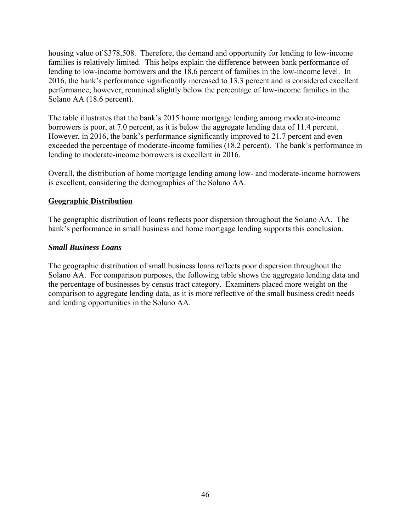housing value of \$378,508. Therefore, the demand and opportunity for lending to low-income families is relatively limited. This helps explain the difference between bank performance of lending to low-income borrowers and the 18.6 percent of families in the low-income level. In 2016, the bank's performance significantly increased to 13.3 percent and is considered excellent performance; however, remained slightly below the percentage of low-income families in the Solano AA (18.6 percent).

The table illustrates that the bank's 2015 home mortgage lending among moderate-income borrowers is poor, at 7.0 percent, as it is below the aggregate lending data of 11.4 percent. However, in 2016, the bank's performance significantly improved to 21.7 percent and even exceeded the percentage of moderate-income families (18.2 percent). The bank's performance in lending to moderate-income borrowers is excellent in 2016.

Overall, the distribution of home mortgage lending among low- and moderate-income borrowers is excellent, considering the demographics of the Solano AA.

### **Geographic Distribution**

The geographic distribution of loans reflects poor dispersion throughout the Solano AA. The bank's performance in small business and home mortgage lending supports this conclusion.

### *Small Business Loans*

The geographic distribution of small business loans reflects poor dispersion throughout the Solano AA. For comparison purposes, the following table shows the aggregate lending data and the percentage of businesses by census tract category. Examiners placed more weight on the comparison to aggregate lending data, as it is more reflective of the small business credit needs and lending opportunities in the Solano AA.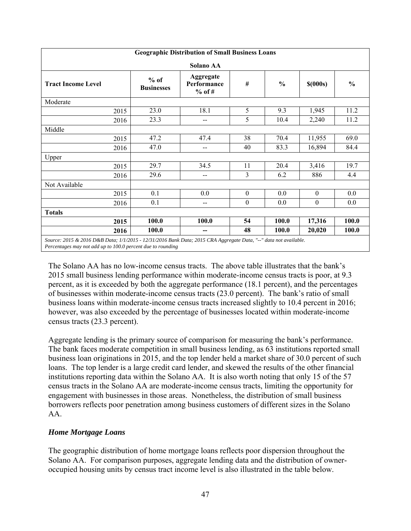|                                                                                                                  |                             | <b>Geographic Distribution of Small Business Loans</b> |                  |               |                  |               |  |  |  |
|------------------------------------------------------------------------------------------------------------------|-----------------------------|--------------------------------------------------------|------------------|---------------|------------------|---------------|--|--|--|
| Solano AA                                                                                                        |                             |                                                        |                  |               |                  |               |  |  |  |
| <b>Tract Income Level</b>                                                                                        | $%$ of<br><b>Businesses</b> | Aggregate<br>Performance<br>$%$ of #                   | #                | $\frac{0}{0}$ | $$$ (000s)       | $\frac{0}{0}$ |  |  |  |
| Moderate                                                                                                         |                             |                                                        |                  |               |                  |               |  |  |  |
| 2015                                                                                                             | 23.0                        | 18.1                                                   | 5                | 9.3           | 1,945            | 11.2          |  |  |  |
| 2016                                                                                                             | 23.3                        | --                                                     | 5                | 10.4          | 2,240            | 11.2          |  |  |  |
| Middle                                                                                                           |                             |                                                        |                  |               |                  |               |  |  |  |
| 2015                                                                                                             | 47.2                        | 47.4                                                   | 38               | 70.4          | 11,955           | 69.0          |  |  |  |
| 2016                                                                                                             | 47.0                        | --                                                     | 40               | 83.3          | 16,894           | 84.4          |  |  |  |
| Upper                                                                                                            |                             |                                                        |                  |               |                  |               |  |  |  |
| 2015                                                                                                             | 29.7                        | 34.5                                                   | 11               | 20.4          | 3,416            | 19.7          |  |  |  |
| 2016                                                                                                             | 29.6                        | --                                                     | 3                | 6.2           | 886              | 4.4           |  |  |  |
| Not Available                                                                                                    |                             |                                                        |                  |               |                  |               |  |  |  |
| 2015                                                                                                             | 0.1                         | 0.0                                                    | $\mathbf{0}$     | 0.0           | $\boldsymbol{0}$ | 0.0           |  |  |  |
| 2016                                                                                                             | 0.1                         | --                                                     | $\boldsymbol{0}$ | 0.0           | $\boldsymbol{0}$ | 0.0           |  |  |  |
| <b>Totals</b>                                                                                                    |                             |                                                        |                  |               |                  |               |  |  |  |
| 2015                                                                                                             | 100.0                       | 100.0                                                  | 54               | 100.0         | 17,316           | 100.0         |  |  |  |
| 2016                                                                                                             | 100.0                       | --                                                     | 48               | 100.0         | 20,020           | 100.0         |  |  |  |
| Source: 2015 & 2016 D&B Data; 1/1/2015 - 12/31/2016 Bank Data; 2015 CRA Aggregate Data, "--" data not available. |                             |                                                        |                  |               |                  |               |  |  |  |

*Percentages may not add up to 100.0 percent due to rounding* 

The Solano AA has no low-income census tracts. The above table illustrates that the bank's 2015 small business lending performance within moderate-income census tracts is poor, at 9.3 percent, as it is exceeded by both the aggregate performance (18.1 percent), and the percentages of businesses within moderate-income census tracts (23.0 percent). The bank's ratio of small business loans within moderate-income census tracts increased slightly to 10.4 percent in 2016; however, was also exceeded by the percentage of businesses located within moderate-income census tracts (23.3 percent).

Aggregate lending is the primary source of comparison for measuring the bank's performance. The bank faces moderate competition in small business lending, as 63 institutions reported small business loan originations in 2015, and the top lender held a market share of 30.0 percent of such loans. The top lender is a large credit card lender, and skewed the results of the other financial institutions reporting data within the Solano AA. It is also worth noting that only 15 of the 57 census tracts in the Solano AA are moderate-income census tracts, limiting the opportunity for engagement with businesses in those areas. Nonetheless, the distribution of small business borrowers reflects poor penetration among business customers of different sizes in the Solano AA.

## *Home Mortgage Loans*

The geographic distribution of home mortgage loans reflects poor dispersion throughout the Solano AA. For comparison purposes, aggregate lending data and the distribution of owneroccupied housing units by census tract income level is also illustrated in the table below.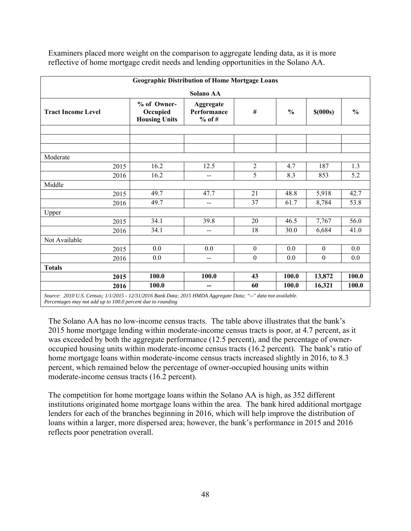|                           |                                                 | <b>Geographic Distribution of Home Mortgage Loans</b> |                  |               |                  |               |
|---------------------------|-------------------------------------------------|-------------------------------------------------------|------------------|---------------|------------------|---------------|
|                           |                                                 | Solano AA                                             |                  |               |                  |               |
| <b>Tract Income Level</b> | % of Owner-<br>Occupied<br><b>Housing Units</b> | Aggregate<br>Performance<br>$%$ of #                  | #                | $\frac{0}{0}$ | $$$ (000s)       | $\frac{0}{0}$ |
|                           |                                                 |                                                       |                  |               |                  |               |
|                           |                                                 |                                                       |                  |               |                  |               |
| Moderate                  |                                                 |                                                       |                  |               |                  |               |
| 2015                      | 16.2                                            | 12.5                                                  | $\overline{2}$   | 4.7           | 187              | 1.3           |
| 2016                      | 16.2                                            | $-$                                                   | 5                | 8.3           | 853              | 5.2           |
| Middle                    |                                                 |                                                       |                  |               |                  |               |
| 2015                      | 49.7                                            | 47.7                                                  | 21               | 48.8          | 5,918            | 42.7          |
| 2016                      | 49.7                                            | --                                                    | 37               | 61.7          | 8,784            | 53.8          |
| Upper                     |                                                 |                                                       |                  |               |                  |               |
| 2015                      | 34.1                                            | 39.8                                                  | 20               | 46.5          | 7,767            | 56.0          |
| 2016                      | 34.1                                            | --                                                    | 18               | 30.0          | 6,684            | 41.0          |
| Not Available             |                                                 |                                                       |                  |               |                  |               |
| 2015                      | 0.0                                             | 0.0                                                   | $\boldsymbol{0}$ | 0.0           | $\boldsymbol{0}$ | 0.0           |
| 2016                      | 0.0                                             | $-$                                                   | $\boldsymbol{0}$ | 0.0           | $\boldsymbol{0}$ | 0.0           |
| <b>Totals</b>             |                                                 |                                                       |                  |               |                  |               |
| 2015                      | 100.0                                           | 100.0                                                 | 43               | 100.0         | 13,872           | 100.0         |
| 2016                      | 100.0                                           | --                                                    | 60               | 100.0         | 16,321           | 100.0         |

Examiners placed more weight on the comparison to aggregate lending data, as it is more reflective of home mortgage credit needs and lending opportunities in the Solano AA.

*Source: 2010 U.S. Census; 1/1/2015 - 12/31/2016 Bank Data; 2015 HMDA Aggregate Data; "--" data not available. Percentages may not add up to 100.0 percent due to rounding* 

The Solano AA has no low-income census tracts. The table above illustrates that the bank's 2015 home mortgage lending within moderate-income census tracts is poor, at 4.7 percent, as it was exceeded by both the aggregate performance (12.5 percent), and the percentage of owneroccupied housing units within moderate-income census tracts (16.2 percent). The bank's ratio of home mortgage loans within moderate-income census tracts increased slightly in 2016, to 8.3 percent, which remained below the percentage of owner-occupied housing units within moderate-income census tracts (16.2 percent).

The competition for home mortgage loans within the Solano AA is high, as 352 different institutions originated home mortgage loans within the area. The bank hired additional mortgage lenders for each of the branches beginning in 2016, which will help improve the distribution of loans within a larger, more dispersed area; however, the bank's performance in 2015 and 2016 reflects poor penetration overall.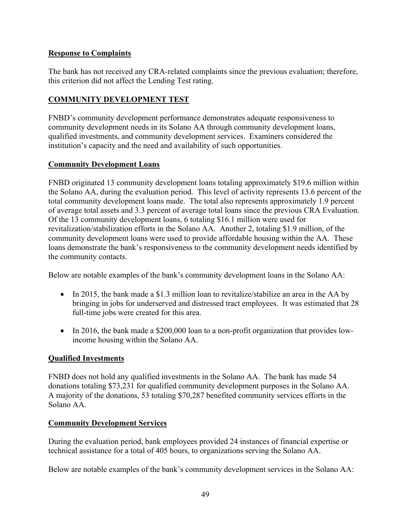## **Response to Complaints**

The bank has not received any CRA-related complaints since the previous evaluation; therefore, this criterion did not affect the Lending Test rating.

## **COMMUNITY DEVELOPMENT TEST**

FNBD's community development performance demonstrates adequate responsiveness to community development needs in its Solano AA through community development loans, qualified investments, and community development services. Examiners considered the institution's capacity and the need and availability of such opportunities.

## **Community Development Loans**

FNBD originated 13 community development loans totaling approximately \$19.6 million within the Solano AA, during the evaluation period. This level of activity represents 13.6 percent of the total community development loans made. The total also represents approximately 1.9 percent of average total assets and 3.3 percent of average total loans since the previous CRA Evaluation. Of the 13 community development loans, 6 totaling \$16.1 million were used for revitalization/stabilization efforts in the Solano AA. Another 2, totaling \$1.9 million, of the community development loans were used to provide affordable housing within the AA. These loans demonstrate the bank's responsiveness to the community development needs identified by the community contacts.

Below are notable examples of the bank's community development loans in the Solano AA:

- In 2015, the bank made a \$1.3 million loan to revitalize/stabilize an area in the AA by bringing in jobs for underserved and distressed tract employees. It was estimated that 28 full-time jobs were created for this area.
- In 2016, the bank made a \$200,000 loan to a non-profit organization that provides lowincome housing within the Solano AA.

## **Qualified Investments**

FNBD does not hold any qualified investments in the Solano AA. The bank has made 54 donations totaling \$73,231 for qualified community development purposes in the Solano AA. A majority of the donations, 53 totaling \$70,287 benefited community services efforts in the Solano AA.

## **Community Development Services**

During the evaluation period, bank employees provided 24 instances of financial expertise or technical assistance for a total of 405 hours, to organizations serving the Solano AA.

Below are notable examples of the bank's community development services in the Solano AA: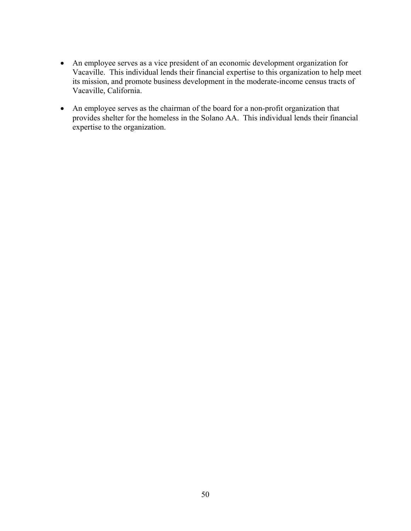- An employee serves as a vice president of an economic development organization for Vacaville. This individual lends their financial expertise to this organization to help meet its mission, and promote business development in the moderate-income census tracts of Vacaville, California.
- An employee serves as the chairman of the board for a non-profit organization that provides shelter for the homeless in the Solano AA. This individual lends their financial expertise to the organization.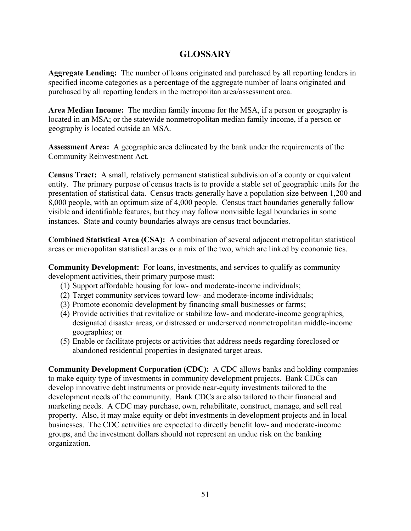## **GLOSSARY**

**Aggregate Lending:** The number of loans originated and purchased by all reporting lenders in specified income categories as a percentage of the aggregate number of loans originated and purchased by all reporting lenders in the metropolitan area/assessment area.

**Area Median Income:** The median family income for the MSA, if a person or geography is located in an MSA; or the statewide nonmetropolitan median family income, if a person or geography is located outside an MSA*.* 

**Assessment Area:** A geographic area delineated by the bank under the requirements of the Community Reinvestment Act.

**Census Tract:** A small, relatively permanent statistical subdivision of a county or equivalent entity. The primary purpose of census tracts is to provide a stable set of geographic units for the presentation of statistical data. Census tracts generally have a population size between 1,200 and 8,000 people, with an optimum size of 4,000 people. Census tract boundaries generally follow visible and identifiable features, but they may follow nonvisible legal boundaries in some instances. State and county boundaries always are census tract boundaries.

**Combined Statistical Area (CSA):** A combination of several adjacent metropolitan statistical areas or micropolitan statistical areas or a mix of the two, which are linked by economic ties.

**Community Development:** For loans, investments, and services to qualify as community development activities, their primary purpose must:

- (1) Support affordable housing for low- and moderate-income individuals;
- (2) Target community services toward low- and moderate-income individuals;
- (3) Promote economic development by financing small businesses or farms;
- (4) Provide activities that revitalize or stabilize low- and moderate-income geographies, designated disaster areas, or distressed or underserved nonmetropolitan middle-income geographies; or
- (5) Enable or facilitate projects or activities that address needs regarding foreclosed or abandoned residential properties in designated target areas.

**Community Development Corporation (CDC):** A CDC allows banks and holding companies to make equity type of investments in community development projects. Bank CDCs can develop innovative debt instruments or provide near-equity investments tailored to the development needs of the community. Bank CDCs are also tailored to their financial and marketing needs. A CDC may purchase, own, rehabilitate, construct, manage, and sell real property. Also, it may make equity or debt investments in development projects and in local businesses. The CDC activities are expected to directly benefit low- and moderate-income groups, and the investment dollars should not represent an undue risk on the banking organization.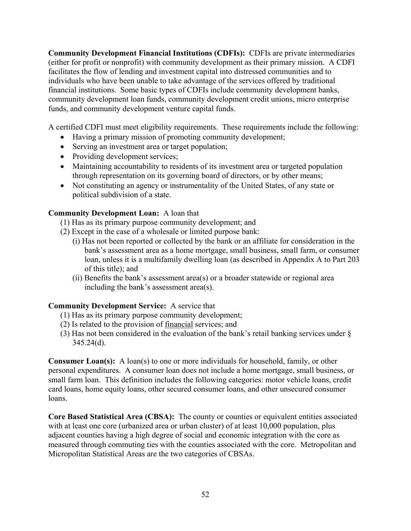**Community Development Financial Institutions (CDFIs):** CDFIs are private intermediaries (either for profit or nonprofit) with community development as their primary mission. A CDFI facilitates the flow of lending and investment capital into distressed communities and to individuals who have been unable to take advantage of the services offered by traditional financial institutions. Some basic types of CDFIs include community development banks, community development loan funds, community development credit unions, micro enterprise funds, and community development venture capital funds.

A certified CDFI must meet eligibility requirements. These requirements include the following:

- Having a primary mission of promoting community development;
- Serving an investment area or target population;
- Providing development services;
- Maintaining accountability to residents of its investment area or targeted population through representation on its governing board of directors, or by other means;
- Not constituting an agency or instrumentality of the United States, of any state or political subdivision of a state.

## **Community Development Loan:** A loan that

- (1) Has as its primary purpose community development; and
- (2) Except in the case of a wholesale or limited purpose bank:
	- (i) Has not been reported or collected by the bank or an affiliate for consideration in the bank's assessment area as a home mortgage, small business, small farm, or consumer loan, unless it is a multifamily dwelling loan (as described in Appendix A to Part 203 of this title); and
	- (ii) Benefits the bank's assessment area(s) or a broader statewide or regional area including the bank's assessment area(s).

## **Community Development Service:** A service that

- (1) Has as its primary purpose community development;
- (2) Is related to the provision of financial services; and
- (3) Has not been considered in the evaluation of the bank's retail banking services under §  $345.24(d)$ .

**Consumer Loan(s):** A loan(s) to one or more individuals for household, family, or other personal expenditures. A consumer loan does not include a home mortgage, small business, or small farm loan. This definition includes the following categories: motor vehicle loans, credit card loans, home equity loans, other secured consumer loans, and other unsecured consumer loans.

**Core Based Statistical Area (CBSA):** The county or counties or equivalent entities associated with at least one core (urbanized area or urban cluster) of at least 10,000 population, plus adjacent counties having a high degree of social and economic integration with the core as measured through commuting ties with the counties associated with the core. Metropolitan and Micropolitan Statistical Areas are the two categories of CBSAs.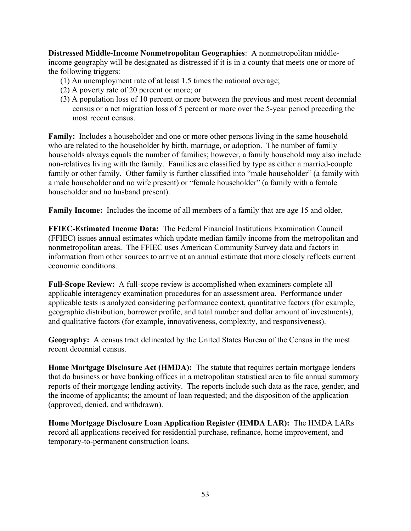**Distressed Middle-Income Nonmetropolitan Geographies**: A nonmetropolitan middleincome geography will be designated as distressed if it is in a county that meets one or more of the following triggers:

- (1) An unemployment rate of at least 1.5 times the national average;
- (2) A poverty rate of 20 percent or more; or
- (3) A population loss of 10 percent or more between the previous and most recent decennial census or a net migration loss of 5 percent or more over the 5-year period preceding the most recent census.

**Family:** Includes a householder and one or more other persons living in the same household who are related to the householder by birth, marriage, or adoption. The number of family households always equals the number of families; however, a family household may also include non-relatives living with the family. Families are classified by type as either a married-couple family or other family. Other family is further classified into "male householder" (a family with a male householder and no wife present) or "female householder" (a family with a female householder and no husband present).

**Family Income:** Includes the income of all members of a family that are age 15 and older.

**FFIEC-Estimated Income Data:** The Federal Financial Institutions Examination Council (FFIEC) issues annual estimates which update median family income from the metropolitan and nonmetropolitan areas. The FFIEC uses American Community Survey data and factors in information from other sources to arrive at an annual estimate that more closely reflects current economic conditions.

**Full-Scope Review:** A full-scope review is accomplished when examiners complete all applicable interagency examination procedures for an assessment area. Performance under applicable tests is analyzed considering performance context, quantitative factors (for example, geographic distribution, borrower profile, and total number and dollar amount of investments), and qualitative factors (for example, innovativeness, complexity, and responsiveness).

**Geography:** A census tract delineated by the United States Bureau of the Census in the most recent decennial census.

**Home Mortgage Disclosure Act (HMDA):** The statute that requires certain mortgage lenders that do business or have banking offices in a metropolitan statistical area to file annual summary reports of their mortgage lending activity. The reports include such data as the race, gender, and the income of applicants; the amount of loan requested; and the disposition of the application (approved, denied, and withdrawn).

**Home Mortgage Disclosure Loan Application Register (HMDA LAR):** The HMDA LARs record all applications received for residential purchase, refinance, home improvement, and temporary-to-permanent construction loans.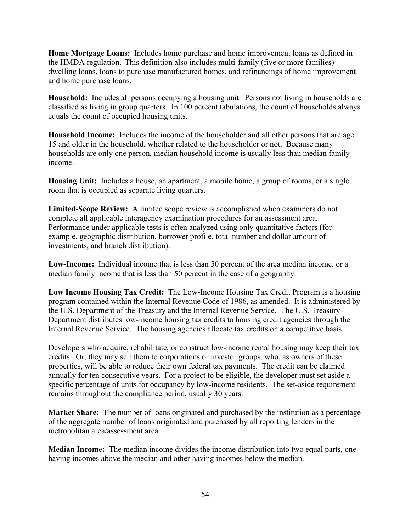**Home Mortgage Loans:** Includes home purchase and home improvement loans as defined in the HMDA regulation. This definition also includes multi-family (five or more families) dwelling loans, loans to purchase manufactured homes, and refinancings of home improvement and home purchase loans.

**Household:** Includes all persons occupying a housing unit. Persons not living in households are classified as living in group quarters. In 100 percent tabulations, the count of households always equals the count of occupied housing units.

**Household Income:** Includes the income of the householder and all other persons that are age 15 and older in the household, whether related to the householder or not. Because many households are only one person, median household income is usually less than median family income.

**Housing Unit:** Includes a house, an apartment, a mobile home, a group of rooms, or a single room that is occupied as separate living quarters.

**Limited-Scope Review:** A limited scope review is accomplished when examiners do not complete all applicable interagency examination procedures for an assessment area. Performance under applicable tests is often analyzed using only quantitative factors (for example, geographic distribution, borrower profile, total number and dollar amount of investments, and branch distribution).

**Low-Income:** Individual income that is less than 50 percent of the area median income, or a median family income that is less than 50 percent in the case of a geography.

**Low Income Housing Tax Credit:** The Low-Income Housing Tax Credit Program is a housing program contained within the Internal Revenue Code of 1986, as amended. It is administered by the U.S. Department of the Treasury and the Internal Revenue Service. The U.S. Treasury Department distributes low-income housing tax credits to housing credit agencies through the Internal Revenue Service. The housing agencies allocate tax credits on a competitive basis.

Developers who acquire, rehabilitate, or construct low-income rental housing may keep their tax credits. Or, they may sell them to corporations or investor groups, who, as owners of these properties, will be able to reduce their own federal tax payments. The credit can be claimed annually for ten consecutive years. For a project to be eligible, the developer must set aside a specific percentage of units for occupancy by low-income residents. The set-aside requirement remains throughout the compliance period, usually 30 years.

**Market Share:** The number of loans originated and purchased by the institution as a percentage of the aggregate number of loans originated and purchased by all reporting lenders in the metropolitan area/assessment area.

**Median Income:** The median income divides the income distribution into two equal parts, one having incomes above the median and other having incomes below the median.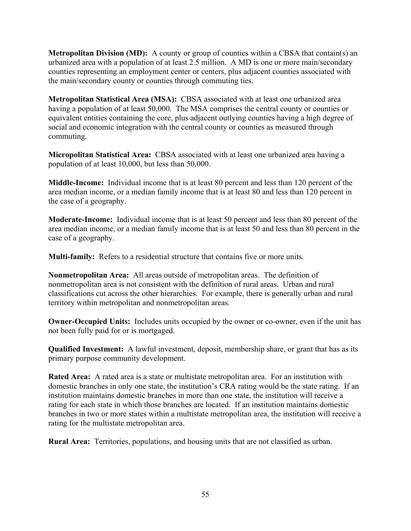**Metropolitan Division (MD):** A county or group of counties within a CBSA that contain(s) an urbanized area with a population of at least 2.5 million. A MD is one or more main/secondary counties representing an employment center or centers, plus adjacent counties associated with the main/secondary county or counties through commuting ties.

**Metropolitan Statistical Area (MSA):** CBSA associated with at least one urbanized area having a population of at least 50,000. The MSA comprises the central county or counties or equivalent entities containing the core, plus adjacent outlying counties having a high degree of social and economic integration with the central county or counties as measured through commuting.

**Micropolitan Statistical Area:** CBSA associated with at least one urbanized area having a population of at least 10,000, but less than 50,000.

**Middle-Income:** Individual income that is at least 80 percent and less than 120 percent of the area median income, or a median family income that is at least 80 and less than 120 percent in the case of a geography.

**Moderate-Income:** Individual income that is at least 50 percent and less than 80 percent of the area median income, or a median family income that is at least 50 and less than 80 percent in the case of a geography.

**Multi-family:** Refers to a residential structure that contains five or more units.

**Nonmetropolitan Area:** All areas outside of metropolitan areas. The definition of nonmetropolitan area is not consistent with the definition of rural areas. Urban and rural classifications cut across the other hierarchies. For example, there is generally urban and rural territory within metropolitan and nonmetropolitan areas.

**Owner-Occupied Units:** Includes units occupied by the owner or co-owner, even if the unit has not been fully paid for or is mortgaged.

**Qualified Investment:** A lawful investment, deposit, membership share, or grant that has as its primary purpose community development.

**Rated Area:** A rated area is a state or multistate metropolitan area. For an institution with domestic branches in only one state, the institution's CRA rating would be the state rating. If an institution maintains domestic branches in more than one state, the institution will receive a rating for each state in which those branches are located. If an institution maintains domestic branches in two or more states within a multistate metropolitan area, the institution will receive a rating for the multistate metropolitan area.

**Rural Area:** Territories, populations, and housing units that are not classified as urban.